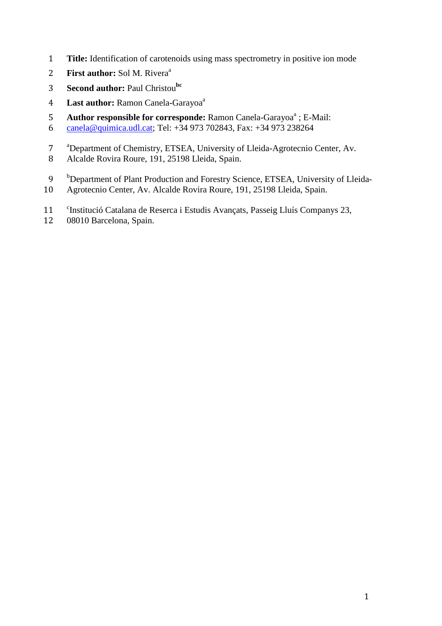- 1 **Title:** Identification of carotenoids using mass spectrometry in positive ion mode
- **First author: Sol M. Rivera**<sup>a</sup>
- **Second author: Paul Christou<sup>bc</sup>**
- 4 Last author: Ramon Canela-Garayoa<sup>a</sup>
- 5 **Author responsible for corresponde:** Ramon Canela-Garayoa<sup>a</sup>; E-Mail:
- 6 canela@quimica.udl.cat; Tel: +34 973 702843, Fax: +34 973 238264
- <sup>a</sup> Department of Chemistry, ETSEA, University of Lleida-Agrotecnio Center, Av.
- 8 Alcalde Rovira Roure, 191, 25198 Lleida, Spain.
- <sup>b</sup> Department of Plant Production and Forestry Science, ETSEA, University of Lleida-
- 10 Agrotecnio Center, Av. Alcalde Rovira Roure, 191, 25198 Lleida, Spain.
- 11 <sup>c</sup>Institució Catalana de Reserca i Estudis Avançats, Passeig Lluís Companys 23,
- 12 08010 Barcelona, Spain.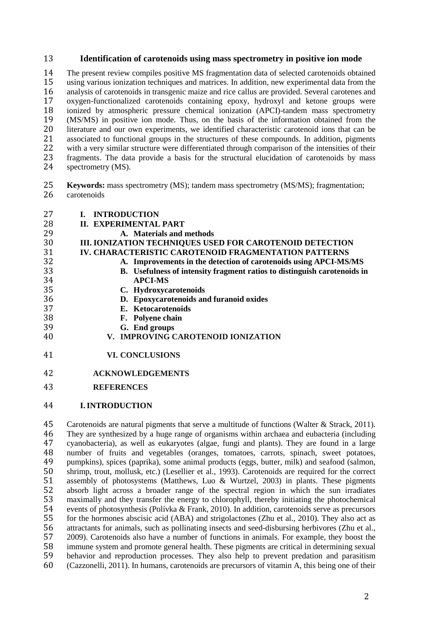#### **Identification of carotenoids using mass spectrometry in positive ion mode**

The present review compiles positive MS fragmentation data of selected carotenoids obtained using various ionization techniques and matrices. In addition, new experimental data from the analysis of carotenoids in transgenic maize and rice callus are provided. Several carotenes and 17 oxygen-functionalized carotenoids containing epoxy, hydroxyl and ketone groups were<br>18 ionized by atmospheric pressure chemical ionization (APCI)-tandem mass spectrometry 18 ionized by atmospheric pressure chemical ionization (APCI)-tandem mass spectrometry<br>19 (MS/MS) in positive ion mode. Thus, on the basis of the information obtained from the (MS/MS) in positive ion mode. Thus, on the basis of the information obtained from the 20 literature and our own experiments, we identified characteristic carotenoid ions that can be associated to functional groups in the structures of these compounds. In addition, pigments associated to functional groups in the structures of these compounds. In addition, pigments with a very similar structure were differentiated through comparison of the intensities of their 23 fragments. The data provide a basis for the structural elucidation of carotenoids by mass spectrometry (MS). spectrometry (MS).

- **Keywords:** mass spectrometry (MS); tandem mass spectrometry (MS/MS); fragmentation; 26 carotenoids
- **I. INTRODUCTION**
- **II. EXPERIMENTAL PART**
- **A. Materials and methods**

# **III. IONIZATION TECHNIQUES USED FOR CAROTENOID DETECTION**

- **IV. CHARACTERISTIC CAROTENOID FRAGMENTATION PATTERNS**
- **A. Improvements in the detection of carotenoids using APCI-MS/MS**
- **B. Usefulness of intensity fragment ratios to distinguish carotenoids in**
- **APCI-MS C. Hydroxycarotenoids**
- **D. Epoxycarotenoids and furanoid oxides** 
	- **E. Ketocarotenoids**
- **F. Polyene chain**
- **G. End groups**
- **V. IMPROVING CAROTENOID IONIZATION**
- **VI. CONCLUSIONS**
- **ACKNOWLEDGEMENTS**
- **REFERENCES**
- **I.INTRODUCTION**

Carotenoids are natural pigments that serve a multitude of functions (Walter & Strack, 2011). 46 They are synthesized by a huge range of organisms within archaea and eubacteria (including cyanobacteria), as well as eukaryotes (algae, fungi and plants). They are found in a large 47 cyanobacteria), as well as eukaryotes (algae, fungi and plants). They are found in a large<br>48 number of fruits and vegetables (oranges tomatoes carrots spinach sweet potatoes 48 number of fruits and vegetables (oranges, tomatoes, carrots, spinach, sweet potatoes, 49 numples spinach, spinach, spinach, spinach, spinach, spinach, spinach, spinach, spinach, spinach, spinach, spinach, spinach, spina 49 pumpkins), spices (paprika), some animal products (eggs, butter, milk) and seafood (salmon, 50 shrimp, trout, mollusk, etc.) (Lesellier et al., 1993). Carotenoids are required for the correct shrimp, trout, mollusk, etc.) (Lesellier et al., 1993). Carotenoids are required for the correct assembly of photosystems (Matthews, Luo & Wurtzel, 2003) in plants. These pigments absorb light across a broader range of the spectral region in which the sun irradiates 53 maximally and they transfer the energy to chlorophyll, thereby initiating the photochemical<br>54 events of photosynthesis (Polívka & Frank, 2010). In addition, carotenoids serve as precursors 54 events of photosynthesis (Polívka & Frank, 2010). In addition, carotenoids serve as precursors<br>55 for the hormones abscisic acid (ABA) and strigolactones (Zhu et al., 2010). They also act as for the hormones abscisic acid (ABA) and strigolactones (Zhu et al., 2010). They also act as 56 attractants for animals, such as pollinating insects and seed-disbursing herbivores (Zhu et al., 57 2009). Carotenoids also have a number of functions in animals. For example, they boost the 57 2009). Carotenoids also have a number of functions in animals. For example, they boost the immune system and promote general health. These pigments are critical in determining sexual immune system and promote general health. These pigments are critical in determining sexual 59 behavior and reproduction processes. They also help to prevent predation and parasitism<br>60 (Cazzonelli, 2011). In humans, carotenoids are precursors of vitamin A, this being one of their (Cazzonelli, 2011). In humans, carotenoids are precursors of vitamin A, this being one of their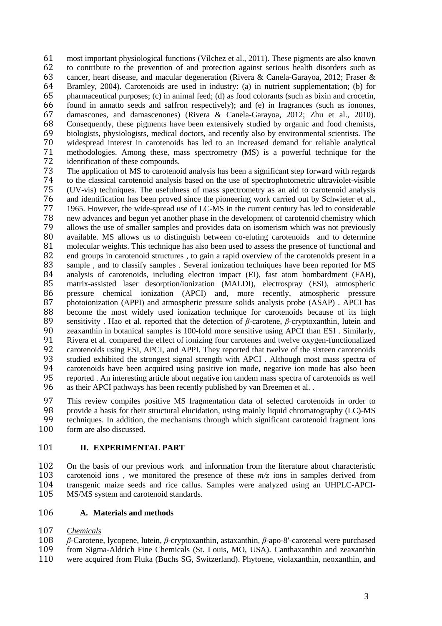most important physiological functions (Vílchez et al., 2011). These pigments are also known to contribute to the prevention of and protection against serious health disorders such as cancer, heart disease, and macular degeneration (Rivera & Canela-Garayoa, 2012; Fraser & 64 Bramley, 2004). Carotenoids are used in industry: (a) in nutrient supplementation; (b) for pharmaceutical purposes: (c) in animal feed: (d) as food colorants (such as bixin and crocetin. pharmaceutical purposes; (c) in animal feed; (d) as food colorants (such as bixin and crocetin, found in annatto seeds and saffron respectively); and (e) in fragrances (such as ionones, damascones, and damascenones) (Rivera & Canela-Garayoa, 2012; Zhu et al., 2010). Consequently, these pigments have been extensively studied by organic and food chemists, biologists, physiologists, medical doctors, and recently also by environmental scientists. The 70 widespread interest in carotenoids has led to an increased demand for reliable analytical<br>71 methodologies. Among these, mass spectrometry (MS) is a powerful technique for the methodologies. Among these, mass spectrometry (MS) is a powerful technique for the 72 identification of these compounds.<br>73 The application of MS to carotenois

73 The application of MS to carotenoid analysis has been a significant step forward with regards<br>74 to the classical carotenoid analysis based on the use of spectrophotometric ultraviolet-visible 74 to the classical carotenoid analysis based on the use of spectrophotometric ultraviolet-visible 75 (UV-vis) techniques. The usefulness of mass spectrometry as an aid to carotenoid analysis 76 and identification has been proved since the pioneering work carried out by Schwieter et al.,<br>77 1965. However, the wide-spread use of LC-MS in the current century has led to considerable 77 1965. However, the wide-spread use of LC-MS in the current century has led to considerable<br>78 new advances and begun vet another phase in the development of carotenoid chemistry which 78 new advances and begun yet another phase in the development of carotenoid chemistry which<br>79 allows the use of smaller samples and provides data on isomerism which was not previously 79 allows the use of smaller samples and provides data on isomerism which was not previously<br>80 available. MS allows us to distinguish between co-eluting carotenoids and to determine available. MS allows us to distinguish between co-eluting carotenoids and to determine 81 molecular weights. This technique has also been used to assess the presence of functional and 82 end groups in carotenoid structures, to gain a rapid overview of the carotenoids present in a<br>83 sample, and to classify samples. Several ionization techniques have been reported for MS 83 sample, and to classify samples. Several ionization techniques have been reported for MS<br>84 analysis of carotenoids, including electron impact (EI), fast atom bombardment (FAB). 84 analysis of carotenoids, including electron impact (EI), fast atom bombardment (FAB), <br>85 matrix-assisted laser desorption/ionization (MALDI), electrospray (ESI), atmospheric matrix-assisted laser desorption/ionization (MALDI), electrospray (ESI), atmospheric 86 pressure chemical ionization (APCI) and, more recently, atmospheric pressure 87 photoionization (APPI) and atmospheric pressure solids analysis probe (ASAP) . APCI has 88 become the most widely used ionization technique for carotenoids because of its high sensitivity. Hao et al. reported that the detection of  $\beta$ -carotene.  $\beta$ -cryptoxanthin. lutein and 89 sensitivity . Hao et al. reported that the detection of *β*-carotene, *β*-cryptoxanthin, lutein and zeaxanthin in botanical samples is 100-fold more sensitive using APCI than ESI. Similarly, zeaxanthin in botanical samples is 100-fold more sensitive using APCI than ESI. Similarly, 91 Rivera et al. compared the effect of ionizing four carotenes and twelve oxygen-functionalized<br>92 carotenoids using ESI, APCI, and APPI. They reported that twelve of the sixteen carotenoids 92 carotenoids using ESI, APCI, and APPI. They reported that twelve of the sixteen carotenoids<br>93 studied exhibited the strongest signal strength with APCI. Although most mass spectra of 93 studied exhibited the strongest signal strength with APCI. Although most mass spectra of carotenoids have been acquired using positive ion mode, negative ion mode has also been 94 carotenoids have been acquired using positive ion mode, negative ion mode has also been<br>95 reported . An interesting article about negative ion tandem mass spectra of carotenoids as well 95 reported . An interesting article about negative ion tandem mass spectra of carotenoids as well<br>96 as their APCI pathways has been recently published by van Breemen et al. as their APCI pathways has been recently published by van Breemen et al. .

97 This review compiles positive MS fragmentation data of selected carotenoids in order to 98 provide a basis for their structural elucidation, using mainly liquid chromatography (LC)-MS<br>99 techniques. In addition, the mechanisms through which significant carotenoid fragment ions 99 techniques. In addition, the mechanisms through which significant carotenoid fragment ions form are also discussed. form are also discussed.

# 101 **II. EXPERIMENTAL PART**

102 On the basis of our previous work and information from the literature about characteristic carotenoid ions, we monitored the presence of these  $m/z$  ions in samples derived from 103 carotenoid ions, we monitored the presence of these  $m/z$  ions in samples derived from 104 transgenic maize seeds and rice callus. Samples were analyzed using an UHPLC-APCI-104 transgenic maize seeds and rice callus. Samples were analyzed using an UHPLC-APCI-<br>105 MS/MS system and carotenoid standards. MS/MS system and carotenoid standards.

# 106 **A. Materials and methods**

# 107 *Chemicals*

108 *β*-Carotene, lycopene, lutein, *β*-cryptoxanthin, astaxanthin, *β*-apo-8′-carotenal were purchased from Sigma-Aldrich Fine Chemicals (St. Louis, MO, USA). Canthaxanthin and zeaxanthin 110 were acquired from Fluka (Buchs SG, Switzerland). Phytoene, violaxanthin, neoxanthin, and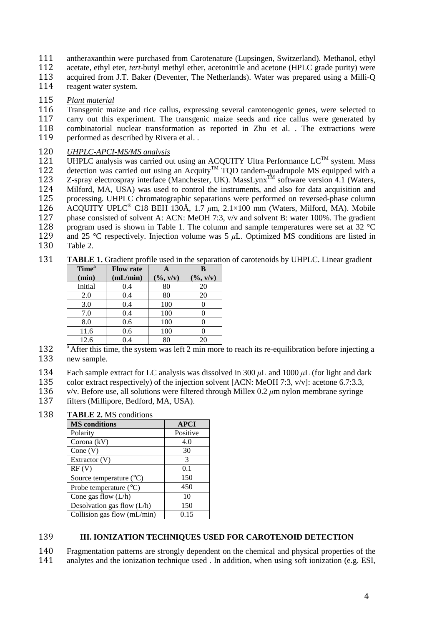- 111 antheraxanthin were purchased from Carotenature (Lupsingen, Switzerland). Methanol, ethyl
- 112 acetate, ethyl eter, *tert*-butyl methyl ether, acetonitrile and acetone (HPLC grade purity) were
- 113 acquired from J.T. Baker (Deventer, The Netherlands). Water was prepared using a Milli-Q<br>114 reagent water system.
- reagent water system.

# 115 *Plant material*

Transgenic maize and rice callus, expressing several carotenogenic genes, were selected to 117 carry out this experiment. The transgenic maize seeds and rice callus were generated by<br>118 combinatorial nuclear transformation as reported in Zhu et al. The extractions were 118 combinatorial nuclear transformation as reported in Zhu et al. . The extractions were 119 performed as described by Rivera et al. .

# 120 *UHPLC-APCI-MS/MS analysis*

UHPLC analysis was carried out using an ACQUITY Ultra Performance  $LC^{TM}$  system. Mass<br>122 detection was carried out using an Acquity<sup>TM</sup> TOD tandem-quadrupole MS equipped with a 122 detection was carried out using an Acquity<sup>TM</sup> TQD tandem-quadrupole MS equipped with a 123 Z-spray electrospray interface (Manchester, UK). MassLynx<sup>TM</sup> software version 4.1 (Waters, 123 Z-spray electrospray interface (Manchester, UK). MassLynx<sup>TM</sup> software version 4.1 (Waters, 124 Milford, MA, USA) was used to control the instruments, and also for data acquisition and 125 processing. UHPLC chromatographic separations were performed on reversed-phase column 126 ACOUITY UPLC<sup>®</sup> C18 BEH 130Å, 1.7  $\mu$ m, 2.1×100 mm (Waters, Milford, MA). Mobile 126 ACQUITY UPLC<sup>®</sup> C18 BEH 130Å, 1.7 μm, 2.1×100 mm (Waters, Milford, MA). Mobile 127 phase consisted of solvent A: ACN: MeOH 7:3, v/v and solvent B: water 100%. The gradient 128 program used is shown in Table 1. The column and sample temperatures were set at 32 °C and 25 °C respectively. Injection volume was 5  $\mu$ L. Optimized MS conditions are listed in 129 and 25 °C respectively. Injection volume was  $5 \mu$ L. Optimized MS conditions are listed in 130 Table 2. Table 2.

131 **TABLE 1.** Gradient profile used in the separation of carotenoids by UHPLC. Linear gradient

| Time <sup>a</sup> | <b>Flow rate</b> |                              | B                            |
|-------------------|------------------|------------------------------|------------------------------|
| (min)             | (mL/min)         | $(\frac{6}{3}, \frac{v}{v})$ | $(\frac{6}{3}, \frac{v}{v})$ |
| Initial           | 0.4              | 80                           | 20                           |
| 2.0               | 0.4              | 80                           | 20                           |
| 3.0               | 0.4              | 100                          |                              |
| 7.0               | 0.4              | 100                          |                              |
| 8.0               | 0.6              | 100                          |                              |
| 11.6              | 0.6              | 100                          |                              |
| 12.6              | 0.4              | 80                           | 20                           |

- 132 <sup>a</sup> After this time, the system was left 2 min more to reach its re-equilibration before injecting a 133 new sample.
- 134 Each sample extract for LC analysis was dissolved in 300  $\mu$ L and 1000  $\mu$ L (for light and dark
- 135 color extract respectively) of the injection solvent [ACN: MeOH 7:3, v/v]: acetone 6.7:3.3.
- 136 v/v. Before use, all solutions were filtered through Millex 0.2 *µ*m nylon membrane syringe
- 137 filters (Millipore, Bedford, MA, USA).

138 **TABLE 2.** MS conditions

| <b>MS</b> conditions             | <b>APCI</b> |
|----------------------------------|-------------|
| Polarity                         | Positive    |
| Corona $(kV)$                    | 4.0         |
| Cone $(V)$                       | 30          |
| Extractor (V)                    | 3           |
| RF(V)                            | 0.1         |
| Source temperature $(^{\circ}C)$ | 150         |
| Probe temperature $(^{\circ}C)$  | 450         |
| Cone gas flow $(L/h)$            | 10          |
| Desolvation gas flow (L/h)       | 150         |
| Collision gas flow (mL/min)      | 0.15        |

# 139 **III. IONIZATION TECHNIQUES USED FOR CAROTENOID DETECTION**

140 Fragmentation patterns are strongly dependent on the chemical and physical properties of the

141 analytes and the ionization technique used . In addition, when using soft ionization (e.g. ESI,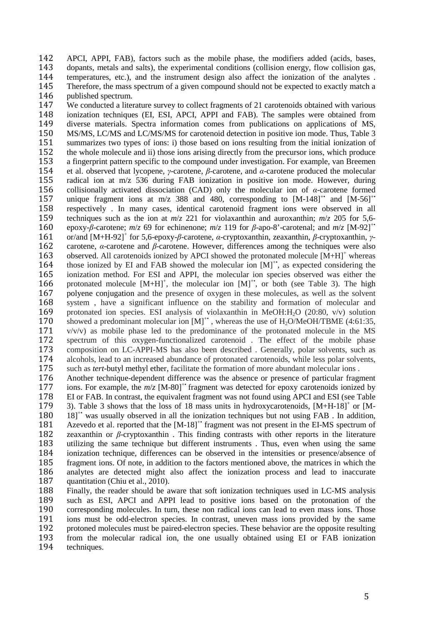142 APCI, APPI, FAB), factors such as the mobile phase, the modifiers added (acids, bases, 143 dopants, metals and salts), the experimental conditions (collision energy, flow collision gas, 144 temperatures, etc.), and the instrument design also affect the ionization of the analytes .<br>145 Therefore, the mass spectrum of a given compound should not be expected to exactly match a 145 Therefore, the mass spectrum of a given compound should not be expected to exactly match a nublished spectrum. published spectrum.

147 We conducted a literature survey to collect fragments of 21 carotenoids obtained with various 148 ionization techniques (EI, ESI, APCI, APPI and FAB). The samples were obtained from 149 diverse materials. Spectra information comes from publications on applications of MS, 150 MS/MS, LC/MS and LC/MS/MS for carotenoid detection in positive ion mode. Thus, Table 3<br>151 summarizes two types of ions: i) those based on ions resulting from the initial ionization of 151 summarizes two types of ions: i) those based on ions resulting from the initial ionization of the whole molecule and ii) those ions arising directly from the precursor ions, which produce 152 the whole molecule and ii) those ions arising directly from the precursor ions, which produce<br>153 a fingerprint pattern specific to the compound under investigation. For example, van Breemen 153 a fingerprint pattern specific to the compound under investigation. For example, van Breemen 154 et al. observed that Ivcopene. *v*-carotene. *B*-carotene. and *a*-carotene produced the molecular 154 et al. observed that lycopene, *γ*-carotene, *β*-carotene, and *α*-carotene produced the molecular 155 radical ion at m/z 536 during FAB ionization in positive ion mode. However, during 156 collisionally activated dissociation (CAD) only the molecular ion of *α*-carotene formed 157 unique fragment ions at m/z 388 and 480, corresponding to [M-148]<sup>\*\*</sup> and [M-56]<sup>\*\*</sup> 157 unique fragment ions at m/z 388 and 480, corresponding to  $[M-148]^+$  and  $[M-56]^+$ <br>158 respectively. In many cases, identical carotenoid fragment ions were observed in all 158 respectively. In many cases, identical carotenoid fragment ions were observed in all techniques such as the ion at  $m/z$  221 for violaxanthin and auroxanthin;  $m/z$  205 for 5.6techniques such as the ion at  $m/z$  221 for violaxanthin and auroxanthin;  $m/z$  205 for 5,6-**160** epoxy-*β*-carotene; *m/z* 69 for echinenone; *m/z* 119 for *β*-apo-8'-carotenal; and *m/z* [M-92]<sup>+•</sup> 161 or/and [M+H-92]<sup>+</sup> for 5,6-epoxy-*β*-carotene, *α*-cryptoxanthin, zeaxanthin, *β*-cryptoxanthin, *γ*-161 or/and [M+H-92]<sup>+</sup> for 5,6-epoxy-*β*-carotene, *α*-cryptoxanthin, *zeaxanthin*, *β*-cryptoxanthin, *γ*-<br>162 carotene, *α*-carotene and *β*-carotene. However, differences among the techniques were also 163 observed. All carotenoids ionized by APCI showed the protonated molecule  $[M+H]^+$  whereas those ionized by EI and FAB showed the protonated molecule  $[M+H]^+$  whereas those ionized by EI and FAB showed the molecular ion  $[M]^+$ , as expected considering the ionization method. For ESI and APPI, the molecular ion spe 165 ionization method. For ESI and APPI, the molecular ion species observed was either the 166 protonated molecule  $[M+H]^+$ , the molecular ion  $[M]^+$ , or both (see Table 3). The high 167 polyene conjugation and the presence of oxygen in these molecules, as well as the solvent 168 system , have a significant influence on the stability and formation of molecular and 169 protonated ion species. ESI analysis of violaxanthin in MeOH:H<sub>2</sub>O (20:80, v/v) solution 170 showed a predominant molecular ion  $[M]^{+}$ , whereas the use of H<sub>2</sub>O/MeOH/TBME (4:61:35, showed a predominant molecular ion  $[M]^+$ , whereas the use of H<sub>2</sub>O/MeOH/TBME (4:61:35, 171 v/v/v) as mobile phase led to the predominance of the protonated molecule in the MS  $v/v/v$  as mobile phase led to the predominance of the protonated molecule in the MS 172 spectrum of this oxygen-functionalized carotenoid. The effect of the mobile phase<br>173 composition on LC-APPI-MS has also been described. Generally, polar solvents, such as 173 composition on LC-APPI-MS has also been described . Generally, polar solvents, such as alcohols, lead to an increased abundance of protonated carotenoids, while less polar solvents, alcohols, lead to an increased abundance of protonated carotenoids, while less polar solvents, 175 such as *tert*-butyl methyl ether, facilitate the formation of more abundant molecular ions .<br>176 Another technique-dependent difference was the absence or presence of particular fragr

176 Another technique-dependent difference was the absence or presence of particular fragment 177 ions. For example, the  $m/z$  [M-801<sup>+</sup> fragment was detected for epoxy carotenoids ionized by 177 ions. For example, the  $m/z$  [M-80]<sup>+•</sup> fragment was detected for epoxy carotenoids ionized by 178 EI or FAB. In contrast, the equivalent fragment was not found using APCI and ESI (see Table 178 EI or FAB. In contrast, the equivalent fragment was not found using APCI and ESI (see Table 179 3). Table 3 shows that the loss of 18 mass units in hydroxycarotenoids,  $[M+H-18]^+$  or  $[M-18]^+$ 179 3). Table 3 shows that the loss of 18 mass units in hydroxycarotenoids,  $[M+H-18]^+$  or  $[M+H-18]^+$ 180  $181^{\circ}$  was usually observed in all the ionization techniques but not using FAB. In addition, 181 Azevedo et al. reported that the  $[M-18]^{+*}$  fragment was not present in the EI-MS spectrum of 182 zeaxanthin or  $\beta$ -cryptoxanthin. This finding contrasts with other reports in the literature 183 utilizing the same technique but different instruments. Thus, even when using the same 183 utilizing the same technique but different instruments. Thus, even when using the same<br>184 ionization technique, differences can be observed in the intensities or presence/absence of 184 ionization technique, differences can be observed in the intensities or presence/absence of 185 fragment ions. Of note, in addition to the factors mentioned above, the matrices in which the fragment ions. Of note, in addition to the factors mentioned above, the matrices in which the 186 analytes are detected might also affect the ionization process and lead to inaccurate 187 quantitation (Chiu et al., 2010).

188 Finally, the reader should be aware that soft ionization techniques used in LC-MS analysis<br>189 such as ESI, APCI and APPI lead to positive ions based on the protonation of the 189 such as ESI, APCI and APPI lead to positive ions based on the protonation of the 190 corresponding molecules. In turn, these non radical ions can lead to even mass ions. Those 190 corresponding molecules. In turn, these non radical ions can lead to even mass ions. Those<br>191 ions must be odd-electron species. In contrast, uneven mass ions provided by the same ions must be odd-electron species. In contrast, uneven mass ions provided by the same 192 protoned molecules must be paired-electron species. These behavior are the opposite resulting<br>193 from the molecular radical ion, the one usually obtained using EI or FAB ionization from the molecular radical ion, the one usually obtained using EI or FAB ionization 194 techniques.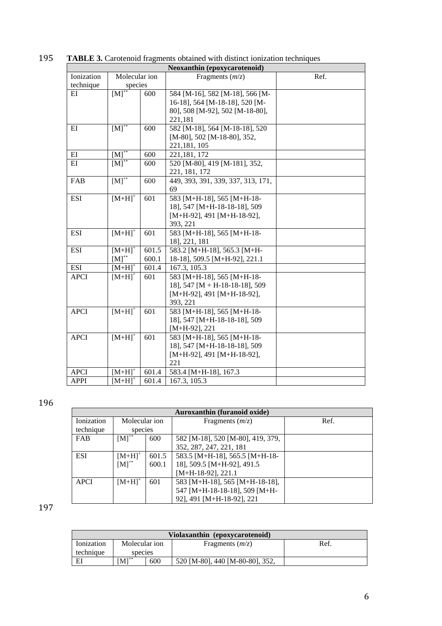|             | Neoxanthin (epoxycarotenoid) |       |                                    |      |  |  |  |
|-------------|------------------------------|-------|------------------------------------|------|--|--|--|
| Ionization  | Molecular ion                |       | Fragments $(m/z)$                  | Ref. |  |  |  |
| technique   | species                      |       |                                    |      |  |  |  |
| EI          | $[M]^{+}$                    | 600   | 584 [M-16], 582 [M-18], 566 [M-    |      |  |  |  |
|             |                              |       | 16-18], 564 [M-18-18], 520 [M-     |      |  |  |  |
|             |                              |       | 80], 508 [M-92], 502 [M-18-80],    |      |  |  |  |
|             |                              |       | 221,181                            |      |  |  |  |
| $E$ I       | $[M]^{+}$                    | 600   | 582 [M-18], 564 [M-18-18], 520     |      |  |  |  |
|             |                              |       | [M-80], 502 [M-18-80], 352,        |      |  |  |  |
|             |                              |       | 221, 181, 105                      |      |  |  |  |
| $E$ I       | $[M]^{+}$                    | 600   | 221, 181, 172                      |      |  |  |  |
| $E$ I       | $[M]^{*}$                    | 600   | 520 [M-80], 419 [M-181], 352,      |      |  |  |  |
|             |                              |       | 221, 181, 172                      |      |  |  |  |
| FAB         | $[M]^{**}$                   | 600   | 449, 393, 391, 339, 337, 313, 171, |      |  |  |  |
|             |                              |       | 69                                 |      |  |  |  |
| <b>ESI</b>  | $[M+H]$ <sup>+</sup>         | 601   | 583 [M+H-18], 565 [M+H-18-         |      |  |  |  |
|             |                              |       | 18], 547 [M+H-18-18-18], 509       |      |  |  |  |
|             |                              |       | $[M+H-92]$ , 491 $[M+H-18-92]$ ,   |      |  |  |  |
|             |                              |       | 393, 221                           |      |  |  |  |
| <b>ESI</b>  | $[M+H]$ <sup>+</sup>         | 601   | 583 [M+H-18], 565 [M+H-18-         |      |  |  |  |
|             |                              |       | 18], 221, 181                      |      |  |  |  |
| <b>ESI</b>  | $[M+H]$ <sup>+</sup>         | 601.5 | 583.2 [M+H-18], 565.3 [M+H-        |      |  |  |  |
|             | $[M]^{*}$                    | 600.1 | 18-18], 509.5 [M+H-92], 221.1      |      |  |  |  |
| <b>ESI</b>  | $[M+H]$ <sup>+</sup>         | 601.4 | 167.3, 105.3                       |      |  |  |  |
| <b>APCI</b> | $[M+H]$ <sup>+</sup>         | 601   | 583 [M+H-18], 565 [M+H-18-         |      |  |  |  |
|             |                              |       | 18], 547 [M + H-18-18-18], 509     |      |  |  |  |
|             |                              |       | $[M+H-92]$ , 491 $[M+H-18-92]$ ,   |      |  |  |  |
|             |                              |       | 393, 221                           |      |  |  |  |
| <b>APCI</b> | $[M+H]$ <sup>+</sup>         | 601   | 583 [M+H-18], 565 [M+H-18-         |      |  |  |  |
|             |                              |       | 18], 547 [M+H-18-18-18], 509       |      |  |  |  |
|             |                              |       | $[M+H-92]$ , 221                   |      |  |  |  |
| <b>APCI</b> | $[M+H]$ <sup>+</sup>         | 601   | 583 [M+H-18], 565 [M+H-18-         |      |  |  |  |
|             |                              |       | 18], 547 [M+H-18-18-18], 509       |      |  |  |  |
|             |                              |       | $[M+H-92]$ , 491 $[M+H-18-92]$ ,   |      |  |  |  |
|             |                              |       | 221                                |      |  |  |  |
| <b>APCI</b> | $[M+H]^+$                    | 601.4 | 583.4 [M+H-18], 167.3              |      |  |  |  |
| <b>APPI</b> | $[M+H]$ <sup>+</sup>         | 601.4 | 167.3, 105.3                       |      |  |  |  |

195 **TABLE 3.** Carotenoid fragments obtained with distinct ionization techniques

| Auroxanthin (furanoid oxide) |                      |       |                                   |      |  |
|------------------------------|----------------------|-------|-----------------------------------|------|--|
| Ionization                   | Molecular ion        |       | Fragments $(m/z)$                 | Ref. |  |
| technique                    | species              |       |                                   |      |  |
| <b>FAB</b>                   | $[M]^{+}$            | 600   | 582 [M-18], 520 [M-80], 419, 379, |      |  |
|                              |                      |       | 352, 287, 247, 221, 181           |      |  |
| <b>ESI</b>                   | $[M+H]$ <sup>+</sup> | 601.5 | 583.5 [M+H-18], 565.5 [M+H-18-    |      |  |
|                              | $[M]^{+}$            | 600.1 | 18], 509.5 [M+H-92], 491.5        |      |  |
|                              |                      |       | $[M+H-18-92]$ , 221.1             |      |  |
| <b>APCI</b>                  | $[M+H]$ <sup>+</sup> | 601   | 583 [M+H-18], 565 [M+H-18-18],    |      |  |
|                              |                      |       | 547 [M+H-18-18-18], 509 [M+H-     |      |  |
|                              |                      |       | 92], 491 [M+H-18-92], 221         |      |  |

| Violaxanthin (epoxycarotenoid) |               |     |                                 |     |  |  |
|--------------------------------|---------------|-----|---------------------------------|-----|--|--|
| Ionization                     | Molecular ion |     | Fragments $(m/z)$               | Ref |  |  |
| technique                      | species       |     |                                 |     |  |  |
| ΕI                             | $[M]^{**}$    | 600 | 520 [M-80], 440 [M-80-80], 352, |     |  |  |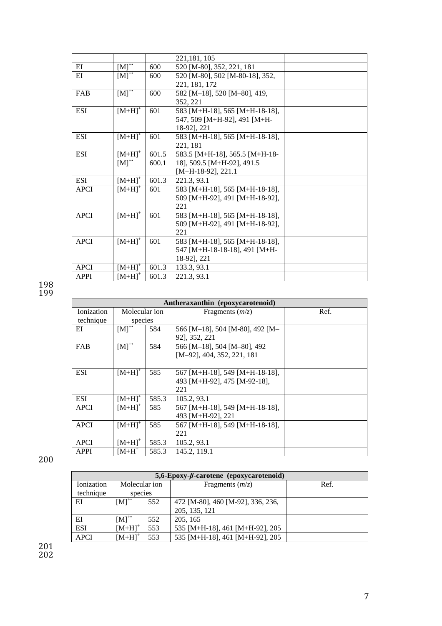|             |                      |       | 221, 181, 105                   |  |
|-------------|----------------------|-------|---------------------------------|--|
| EI          | $[M]^{+}$            | 600   | 520 [M-80], 352, 221, 181       |  |
| EI          | $[M]^{+}$            | 600   | 520 [M-80], 502 [M-80-18], 352, |  |
|             |                      |       | 221, 181, 172                   |  |
| FAB         | $[M]^{+}$            | 600   | 582 [M-18], 520 [M-80], 419,    |  |
|             |                      |       | 352, 221                        |  |
| <b>ESI</b>  | $[M+H]$ <sup>+</sup> | 601   | 583 [M+H-18], 565 [M+H-18-18],  |  |
|             |                      |       | 547, 509 [M+H-92], 491 [M+H-    |  |
|             |                      |       | 18-921, 221                     |  |
| <b>ESI</b>  | $[M+H]$ <sup>+</sup> | 601   | 583 [M+H-18], 565 [M+H-18-18],  |  |
|             |                      |       | 221, 181                        |  |
| <b>ESI</b>  | $[M+H]^+$            | 601.5 | 583.5 [M+H-18], 565.5 [M+H-18-  |  |
|             | $[M]^{+}$            | 600.1 | 18], 509.5 [M+H-92], 491.5      |  |
|             |                      |       | $[M+H-18-92]$ , 221.1           |  |
| ESI         | $[M+H]^{+}$          | 601.3 | 221.3, 93.1                     |  |
| <b>APCI</b> | $[M+H]^+$            | 601   | 583 [M+H-18], 565 [M+H-18-18],  |  |
|             |                      |       | 509 [M+H-92], 491 [M+H-18-92],  |  |
|             |                      |       | 221                             |  |
| <b>APCI</b> | $[M+H]$ <sup>+</sup> | 601   | 583 [M+H-18], 565 [M+H-18-18],  |  |
|             |                      |       | 509 [M+H-92], 491 [M+H-18-92],  |  |
|             |                      |       | 221                             |  |
| <b>APCI</b> | $[M+H]$ <sup>+</sup> | 601   | 583 [M+H-18], 565 [M+H-18-18],  |  |
|             |                      |       | 547 [M+H-18-18-18], 491 [M+H-   |  |
|             |                      |       | 18-92], 221                     |  |
| <b>APCI</b> | $[M+H]^{+}$          | 601.3 | 133.3, 93.1                     |  |
| <b>APPI</b> | $[M+H]^+$            | 601.3 | 221.3, 93.1                     |  |

|             | Antheraxanthin (epoxycarotenoid) |       |                                 |      |  |  |
|-------------|----------------------------------|-------|---------------------------------|------|--|--|
| Ionization  | Molecular ion                    |       | Fragments $(m/z)$               | Ref. |  |  |
| technique   | species                          |       |                                 |      |  |  |
| ΕI          | $[M]$ <sup>*</sup>               | 584   | 566 [M-18], 504 [M-80], 492 [M- |      |  |  |
|             |                                  |       | 92], 352, 221                   |      |  |  |
| <b>FAB</b>  | $[M]^{+}$                        | 584   | 566 [M-18], 504 [M-80], 492     |      |  |  |
|             |                                  |       | [M-92], 404, 352, 221, 181      |      |  |  |
|             |                                  |       |                                 |      |  |  |
| ESI         | $[M+H]$ <sup>+</sup>             | 585   | 567 [M+H-18], 549 [M+H-18-18],  |      |  |  |
|             |                                  |       | 493 [M+H-92], 475 [M-92-18],    |      |  |  |
|             |                                  |       | 221                             |      |  |  |
| <b>ESI</b>  | $[M+H]^{+}$                      | 585.3 | 105.2, 93.1                     |      |  |  |
| <b>APCI</b> | $[M+H]$ <sup>+</sup>             | 585   | 567 [M+H-18], 549 [M+H-18-18],  |      |  |  |
|             |                                  |       | 493 [M+H-92], 221               |      |  |  |
| <b>APCI</b> | $[M+H]$ <sup>+</sup>             | 585   | 567 [M+H-18], 549 [M+H-18-18],  |      |  |  |
|             |                                  |       | 221                             |      |  |  |
| <b>APCI</b> | $[M+H]$ <sup>+</sup>             | 585.3 | 105.2, 93.1                     |      |  |  |
| <b>APPI</b> | $IM+H^+$                         | 585.3 | 145.2, 119.1                    |      |  |  |

# 200

| $5,6$ -Epoxy- $\beta$ -carotene (epoxycarotenoid) |                      |     |                                   |      |  |  |
|---------------------------------------------------|----------------------|-----|-----------------------------------|------|--|--|
| Ionization                                        | Molecular ion        |     | Fragments $(m/z)$                 | Ref. |  |  |
| technique                                         | species              |     |                                   |      |  |  |
| EI                                                | $[M]^{+}$            | 552 | 472 [M-80], 460 [M-92], 336, 236, |      |  |  |
|                                                   |                      |     | 205, 135, 121                     |      |  |  |
| EI                                                | $[M]^{\ast}$         | 552 | 205, 165                          |      |  |  |
| <b>ESI</b>                                        | $[M+H]$ <sup>+</sup> | 553 | 535 [M+H-18], 461 [M+H-92], 205   |      |  |  |
| <b>APCI</b>                                       | $[M+H]$ <sup>+</sup> | 553 | 535 [M+H-18], 461 [M+H-92], 205   |      |  |  |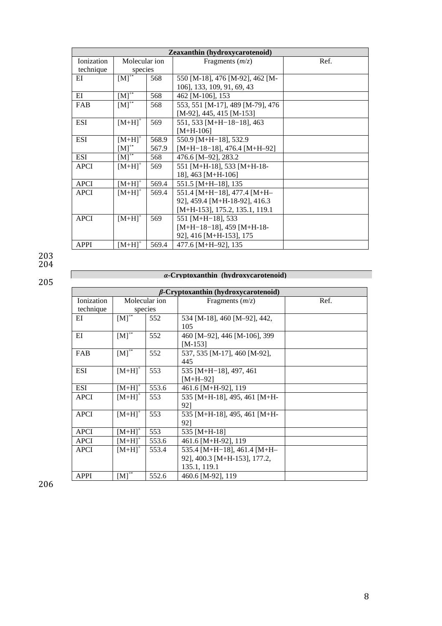|             | Zeaxanthin (hydroxycarotenoid) |       |                                   |      |  |  |  |
|-------------|--------------------------------|-------|-----------------------------------|------|--|--|--|
| Ionization  | Molecular ion                  |       | Fragments $(m/z)$                 | Ref. |  |  |  |
| technique   | species                        |       |                                   |      |  |  |  |
| ΕI          | $\overline{[M]^{**}}$          | 568   | 550 [M-18], 476 [M-92], 462 [M-   |      |  |  |  |
|             |                                |       | 106], 133, 109, 91, 69, 43        |      |  |  |  |
| EI          | $[M]^{+}$                      | 568   | 462 [M-106], 153                  |      |  |  |  |
| <b>FAB</b>  | $[M]^{+}$                      | 568   | 553, 551 [M-17], 489 [M-79], 476  |      |  |  |  |
|             |                                |       | $[M-92]$ , 445, 415 [M-153]       |      |  |  |  |
| ESI         | $[M+H]$ <sup>+</sup>           | 569   | 551, 533 [M+H-18-18], 463         |      |  |  |  |
|             |                                |       | $[M+H-106]$                       |      |  |  |  |
| <b>ESI</b>  | $[M+H]$ <sup>+</sup>           | 568.9 | 550.9 [M+H-18], 532.9             |      |  |  |  |
|             | $[M]^{+}$                      | 567.9 | $[M+H-18-18]$ , 476.4 $[M+H-92]$  |      |  |  |  |
| <b>ESI</b>  | $[M]^{T}$                      | 568   | 476.6 [M-92], 283.2               |      |  |  |  |
| <b>APCI</b> | $[M+H]$ <sup>+</sup>           | 569   | 551 [M+H-18], 533 [M+H-18-        |      |  |  |  |
|             |                                |       | 18], 463 [M+H-106]                |      |  |  |  |
| <b>APCI</b> | $[M+H]$ <sup>+</sup>           | 569.4 | $551.5$ [M+H-18], 135             |      |  |  |  |
| <b>APCI</b> | $[M+H]$ <sup>+</sup>           | 569.4 | 551.4 $[M+H-18]$ , 477.4 $[M+H-$  |      |  |  |  |
|             |                                |       | 92], 459.4 [M+H-18-92], 416.3     |      |  |  |  |
|             |                                |       | $[M+H-153]$ , 175.2, 135.1, 119.1 |      |  |  |  |
| <b>APCI</b> | $[M+H]$ <sup>+</sup>           | 569   | 551 [M+H-18], 533                 |      |  |  |  |
|             |                                |       | $[M+H-18-18]$ , 459 $[M+H-18-$    |      |  |  |  |
|             |                                |       | 92], 416 [M+H-153], 175           |      |  |  |  |
| <b>APPI</b> | $[M+H]^+$                      | 569.4 | 477.6 [M+H-92], 135               |      |  |  |  |

 $\frac{204}{ }$ 205

 $\mathbf{I}$ 

# *α***-Cryptoxanthin (hydroxycarotenoid)**

|             | <i>B</i> -Cryptoxanthin (hydroxycarotenoid) |               |                              |      |  |  |  |
|-------------|---------------------------------------------|---------------|------------------------------|------|--|--|--|
| Ionization  |                                             | Molecular ion | Fragments $(m/z)$            | Ref. |  |  |  |
| technique   |                                             | species       |                              |      |  |  |  |
| ΕI          | $[M]^{*}$                                   | 552           | 534 [M-18], 460 [M-92], 442, |      |  |  |  |
|             |                                             |               | 105                          |      |  |  |  |
| EI          | $[M]^{+}$                                   | 552           | 460 [M-92], 446 [M-106], 399 |      |  |  |  |
|             |                                             |               | $[M-153]$                    |      |  |  |  |
| FAB         | $[M]^{+}$                                   | 552           | 537, 535 [M-17], 460 [M-92], |      |  |  |  |
|             |                                             |               | 445                          |      |  |  |  |
| ESI         | $[M+H]$ <sup>+</sup>                        | 553           | 535 [M+H-18], 497, 461       |      |  |  |  |
|             |                                             |               | $[M+H-92]$                   |      |  |  |  |
| <b>ESI</b>  | $[M+H]$ <sup>+</sup>                        | 553.6         | 461.6 [M+H-92], 119          |      |  |  |  |
| <b>APCI</b> | $[M+H]$ <sup>+</sup>                        | 553           | 535 [M+H-18], 495, 461 [M+H- |      |  |  |  |
|             |                                             |               | 921                          |      |  |  |  |
| <b>APCI</b> | $[M+H]$ <sup>+</sup>                        | 553           | 535 [M+H-18], 495, 461 [M+H- |      |  |  |  |
|             |                                             |               | 92]                          |      |  |  |  |
| <b>APCI</b> | $[M+H]$ <sup>+</sup>                        | 553           | 535 [M+H-18]                 |      |  |  |  |
| <b>APCI</b> | $[M+H]$ <sup>+</sup>                        | 553.6         | 461.6 [M+H-92], 119          |      |  |  |  |
| <b>APCI</b> | $[M+H]$ <sup>+</sup>                        | 553.4         | 535.4 [M+H-18], 461.4 [M+H-  |      |  |  |  |
|             |                                             |               | 92], 400.3 [M+H-153], 177.2, |      |  |  |  |
|             |                                             |               | 135.1, 119.1                 |      |  |  |  |
| <b>APPI</b> | $[M]^{**}$                                  | 552.6         | 460.6 [M-92], 119            |      |  |  |  |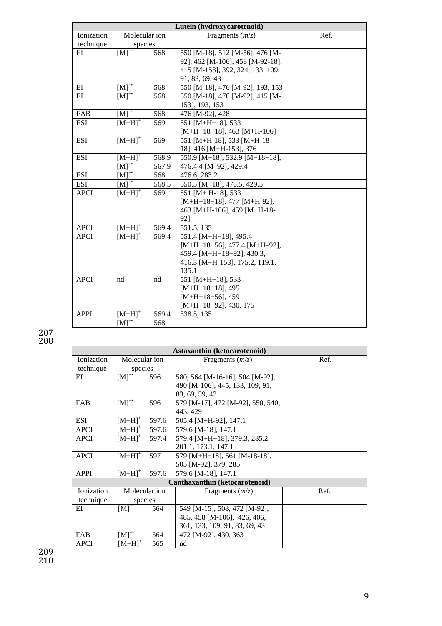|             | Lutein (hydroxycarotenoid) |       |                                    |      |  |  |  |
|-------------|----------------------------|-------|------------------------------------|------|--|--|--|
| Ionization  | Molecular ion              |       | Fragments $(m/z)$                  | Ref. |  |  |  |
| technique   | species                    |       |                                    |      |  |  |  |
| EI          | $[M]^{**}$                 | 568   | 550 [M-18], 512 [M-56], 476 [M-    |      |  |  |  |
|             |                            |       | 92], 462 [M-106], 458 [M-92-18],   |      |  |  |  |
|             |                            |       | 415 [M-153], 392, 324, 133, 109,   |      |  |  |  |
|             |                            |       | 91, 83, 69, 43                     |      |  |  |  |
| EI          | $[M]^{+}$                  | 568   | 550 [M-18], 476 [M-92], 193, 153   |      |  |  |  |
| $E$ I       | $[M]^{+}$                  | 568   | 550 [M-18], 476 [M-92], 415 [M-    |      |  |  |  |
|             |                            |       | 153], 193, 153                     |      |  |  |  |
| FAB         | $[M]$ <sup>*</sup>         | 568   | 476 [M-92], 428                    |      |  |  |  |
| <b>ESI</b>  | $[M+H]$ <sup>+</sup>       | 569   | 551 [M+H-18], 533                  |      |  |  |  |
|             |                            |       | $[M+H-18-18]$ , 463 $[M+H-106]$    |      |  |  |  |
| <b>ESI</b>  | $[M+H]$ <sup>+</sup>       | 569   | 551 [M+H-18], 533 [M+H-18-         |      |  |  |  |
|             |                            |       | 18], 416 [M+H-153], 376            |      |  |  |  |
| <b>ESI</b>  | $[M+H]$ <sup>+</sup>       | 568.9 | 550.9 [M-18], 532.9 [M-18-18],     |      |  |  |  |
|             | $[M]^{**}$                 | 567.9 | 476.4 4 [M-92], 429.4              |      |  |  |  |
| <b>ESI</b>  | $[M]^{+}$                  | 568   | 476.6, 283.2                       |      |  |  |  |
| <b>ESI</b>  | $\overline{[M]^{**}}$      | 568.5 | 550.5 [M-18], 476.5, 429.5         |      |  |  |  |
| <b>APCI</b> | $[M+H]$ <sup>+</sup>       | 569   | 551 [M+ H-18], 533                 |      |  |  |  |
|             |                            |       | $[M+H-18-18]$ , 477 $[M+H-92]$ ,   |      |  |  |  |
|             |                            |       | 463 [M+H-106], 459 [M+H-18-        |      |  |  |  |
|             |                            |       | 92]                                |      |  |  |  |
| <b>APCI</b> | $[M+H]$ <sup>+</sup>       | 569.4 | 551.5, 135                         |      |  |  |  |
| <b>APCI</b> | $[M+H]$ <sup>+</sup>       | 569.4 | 551.4 [M+H-18], 495.4              |      |  |  |  |
|             |                            |       | $[M+H-18-56]$ , 477.4 $[M+H-92]$ , |      |  |  |  |
|             |                            |       | 459.4 [M+H-18-92], 430.3,          |      |  |  |  |
|             |                            |       | 416.3 [M+H-153], 175.2, 119.1,     |      |  |  |  |
|             |                            |       | 135.1                              |      |  |  |  |
| <b>APCI</b> | nd                         | nd    | 551 [M+H-18], 533                  |      |  |  |  |
|             |                            |       | $[M+H-18-18]$ , 495                |      |  |  |  |
|             |                            |       | $[M+H-18-56]$ , 459                |      |  |  |  |
|             |                            |       | $[M+H-18-92]$ , 430, 175           |      |  |  |  |
| <b>APPI</b> | $[M+H]$ <sup>+</sup>       | 569.4 | 338.5, 135                         |      |  |  |  |
|             | $[M]^{+}$                  | 568   |                                    |      |  |  |  |

| Astaxanthin (ketocarotenoid) |                      |       |                                   |      |  |  |
|------------------------------|----------------------|-------|-----------------------------------|------|--|--|
| Ionization                   | Molecular ion        |       | Fragments $(m/z)$                 | Ref. |  |  |
| technique                    | species              |       |                                   |      |  |  |
| EI                           | $[M]$ <sup>+</sup>   | 596   | 580, 564 [M-16-16], 504 [M-92],   |      |  |  |
|                              |                      |       | 490 [M-106], 445, 133, 109, 91,   |      |  |  |
|                              |                      |       | 83, 69, 59, 43                    |      |  |  |
| <b>FAB</b>                   | $[M]^{**}$           | 596   | 579 [M-17], 472 [M-92], 550, 540, |      |  |  |
|                              |                      |       | 443, 429                          |      |  |  |
| <b>ESI</b>                   | $[M+H]^+$            | 597.6 | 505.4 [M+H-92], 147.1             |      |  |  |
| <b>APCI</b>                  | $[M+H]$ <sup>+</sup> | 597.6 | 579.6 [M-18], 147.1               |      |  |  |
| <b>APCI</b>                  | $[M+H]$ <sup>+</sup> | 597.4 | 579.4 [M+H-18], 379.3, 285.2,     |      |  |  |
|                              |                      |       | 201.1, 173.1, 147.1               |      |  |  |
| <b>APCI</b>                  | $[M+H]$ <sup>+</sup> | 597   | 579 [M+H-18], 561 [M-18-18],      |      |  |  |
|                              |                      |       | 505 [M-92], 379, 285              |      |  |  |
| <b>APPI</b>                  | $[M+H]^{+}$          | 597.6 | 579.6 [M-18], 147.1               |      |  |  |
|                              |                      |       | Canthaxanthin (ketocarotenoid)    |      |  |  |
| Ionization                   | Molecular ion        |       | Fragments $(m/z)$                 | Ref. |  |  |
| technique                    | species              |       |                                   |      |  |  |
| ΕI                           | $[M]$ <sup>*</sup>   | 564   | 549 [M-15], 508, 472 [M-92],      |      |  |  |
|                              |                      |       | 485, 458 [M-106], 426, 406,       |      |  |  |
|                              |                      |       | 361, 133, 109, 91, 83, 69, 43     |      |  |  |
| FAB                          | $[M]^{+}$            | 564   | 472 [M-92], 430, 363              |      |  |  |
| <b>APCI</b>                  | $[M+H]^+$            | 565   | nd                                |      |  |  |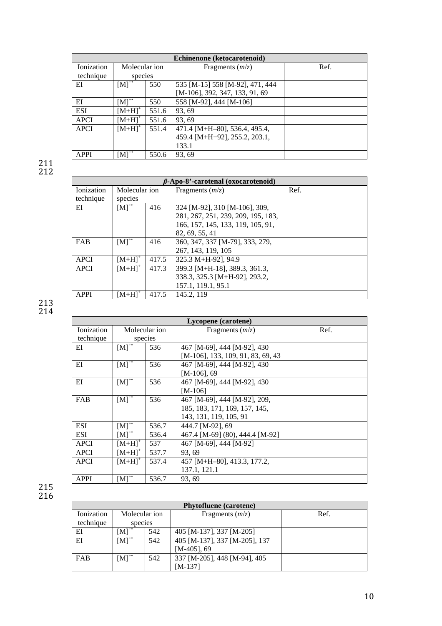| Echinenone (ketocarotenoid) |               |       |                                 |      |  |
|-----------------------------|---------------|-------|---------------------------------|------|--|
| Ionization                  | Molecular ion |       | Fragments $(m/z)$               | Ref. |  |
| technique                   | species       |       |                                 |      |  |
| ΕI                          | $[M]^{+}$     | 550   | 535 [M-15] 558 [M-92], 471, 444 |      |  |
|                             |               |       | [M-106], 392, 347, 133, 91, 69  |      |  |
| EI                          | $[M]^{+}$     | 550   | 558 [M-92], 444 [M-106]         |      |  |
| <b>ESI</b>                  | $[M+H]^+$     | 551.6 | 93, 69                          |      |  |
| <b>APCI</b>                 | $[M+H]^+$     | 551.6 | 93.69                           |      |  |
| <b>APCI</b>                 | $[M+H]^{+}$   | 551.4 | 471.4 [M+H-80], 536.4, 495.4,   |      |  |
|                             |               |       | 459.4 [M+H-92], 255.2, 203.1,   |      |  |
|                             |               |       | 133.1                           |      |  |
| <b>APPI</b>                 | $[M]^{**}$    | 550.6 | 93, 69                          |      |  |

|             | $\beta$ -Apo-8'-carotenal (oxocarotenoid) |       |                                    |      |  |  |
|-------------|-------------------------------------------|-------|------------------------------------|------|--|--|
| Ionization  | Molecular ion                             |       | Fragments $(m/z)$                  | Ref. |  |  |
| technique   | species                                   |       |                                    |      |  |  |
| ΕI          | $[M]^{+}$                                 | 416   | 324 [M-92], 310 [M-106], 309,      |      |  |  |
|             |                                           |       | 281, 267, 251, 239, 209, 195, 183, |      |  |  |
|             |                                           |       | 166, 157, 145, 133, 119, 105, 91,  |      |  |  |
|             |                                           |       | 82, 69, 55, 41                     |      |  |  |
| FAB         | $[M]^{+}$                                 | 416   | 360, 347, 337 [M-79], 333, 279,    |      |  |  |
|             |                                           |       | 267, 143, 119, 105                 |      |  |  |
| <b>APCI</b> | $[M+HI^+]$                                | 417.5 | 325.3 M+H-92], 94.9                |      |  |  |
| <b>APCI</b> | $[M+H]$ <sup>+</sup>                      | 417.3 | 399.3 [M+H-18], 389.3, 361.3,      |      |  |  |
|             |                                           |       | 338.3, 325.3 [M+H-92], 293.2,      |      |  |  |
|             |                                           |       | 157.1, 119.1, 95.1                 |      |  |  |
| <b>APPI</b> | $[M+H]^{+}$                               | 417.5 | 145.2, 119                         |      |  |  |

#### 213 214

|                   | Lycopene (carotene) |         |                                   |      |  |  |
|-------------------|---------------------|---------|-----------------------------------|------|--|--|
| <b>Ionization</b> | Molecular ion       |         | Fragments $(m/z)$                 | Ref. |  |  |
| technique         |                     | species |                                   |      |  |  |
| ЕI                | $[M]^{**}$          | 536     | 467 [M-69], 444 [M-92], 430       |      |  |  |
|                   |                     |         | [M-106], 133, 109, 91, 83, 69, 43 |      |  |  |
| EI                | $[M]$ <sup>**</sup> | 536     | 467 [M-69], 444 [M-92], 430       |      |  |  |
|                   |                     |         | $[M-106]$ , 69                    |      |  |  |
| ΕI                | $[M]^{H}$           | 536     | 467 [M-69], 444 [M-92], 430       |      |  |  |
|                   |                     |         | $[M-106]$                         |      |  |  |
| <b>FAB</b>        | $[M]^{*}$           | 536     | 467 [M-69], 444 [M-92], 209,      |      |  |  |
|                   |                     |         | 185, 183, 171, 169, 157, 145,     |      |  |  |
|                   |                     |         | 143, 131, 119, 105, 91            |      |  |  |
| ESI               | $[M]^{+}$           | 536.7   | 444.7 [M-92], 69                  |      |  |  |
| <b>ESI</b>        | $[M]^{**}$          | 536.4   | 467.4 [M-69] (80), 444.4 [M-92]   |      |  |  |
| <b>APCI</b>       | $[M+H]^+$           | 537     | 467 [M-69], 444 [M-92]            |      |  |  |
| <b>APCI</b>       | $[M+H]^+$           | 537.7   | 93, 69                            |      |  |  |
| <b>APCI</b>       | $[M+H]^+$           | 537.4   | 457 [M+H-80], 413.3, 177.2,       |      |  |  |
|                   |                     |         | 137.1, 121.1                      |      |  |  |
| <b>APPI</b>       | $[M]^{**}$          | 536.7   | 93.69                             |      |  |  |

215  $\frac{1}{216}$ 

| <b>Phytofluene</b> (carotene) |               |     |                               |      |  |  |
|-------------------------------|---------------|-----|-------------------------------|------|--|--|
| Ionization                    | Molecular ion |     | Fragments $(m/z)$             | Ref. |  |  |
| technique                     | species       |     |                               |      |  |  |
| EI                            | $[M]^{+}$     | 542 | 405 [M-137], 337 [M-205]      |      |  |  |
| EI                            | $[M]^{+}$     | 542 | 405 [M-137], 337 [M-205], 137 |      |  |  |
|                               |               |     | $[M-405]$ , 69                |      |  |  |
| <b>FAB</b>                    | $[M]^{+}$     | 542 | 337 [M-205], 448 [M-94], 405  |      |  |  |
|                               |               |     | $[M-137]$                     |      |  |  |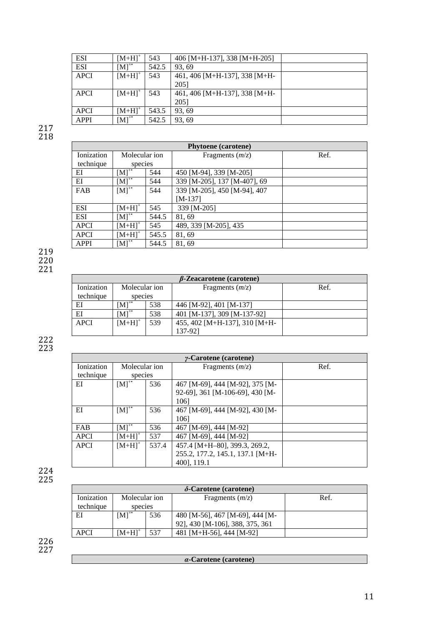| <b>ESI</b>  | $[M+H]^+$                   | 543   | 406 [M+H-137], 338 [M+H-205]  |  |
|-------------|-----------------------------|-------|-------------------------------|--|
| <b>ESI</b>  | $\left[\text{M}\right]^{+}$ | 542.5 | 93.69                         |  |
| APCI        | $[M+H]$ <sup>+</sup>        | 543   | 461, 406 [M+H-137], 338 [M+H- |  |
|             |                             |       | 2051                          |  |
| APCI        | $[M+H]$ <sup>+</sup>        | 543   | 461, 406 [M+H-137], 338 [M+H- |  |
|             |                             |       | 2051                          |  |
| <b>APCI</b> | $[M+H]^+$                   | 543.5 | 93.69                         |  |
| <b>APPI</b> | $[M]^+$                     | 542.5 | 93.69                         |  |

| <b>Phytoene</b> (carotene) |                      |       |                              |      |  |
|----------------------------|----------------------|-------|------------------------------|------|--|
| Ionization                 | Molecular ion        |       | Fragments $(m/z)$            | Ref. |  |
| technique                  | species              |       |                              |      |  |
| EI                         | $[M]^{**}$           | 544   | 450 [M-94], 339 [M-205]      |      |  |
| EI                         | $[M]^{**}$           | 544   | 339 [M-205], 137 [M-407], 69 |      |  |
| FAB                        | $[M]^{+}$            | 544   | 339 [M-205], 450 [M-94], 407 |      |  |
|                            |                      |       | $[M-137]$                    |      |  |
| <b>ESI</b>                 | $[M+H]$ <sup>+</sup> | 545   | 339 [M-205]                  |      |  |
| <b>ESI</b>                 | $[M]^{**}$           | 544.5 | 81,69                        |      |  |
| <b>APCI</b>                | $[M+H]^{+}$          | 545   | 489, 339 [M-205], 435        |      |  |
| <b>APCI</b>                | $[M+H]^+$            | 545.5 | 81,69                        |      |  |
| <b>APPI</b>                | $[M]^{**}$           | 544.5 | 81,69                        |      |  |

219 220

221

| $\beta$ -Zeacarotene (carotene) |               |     |                               |      |  |  |
|---------------------------------|---------------|-----|-------------------------------|------|--|--|
| Ionization                      | Molecular ion |     | Fragments $(m/z)$             | Ref. |  |  |
| technique                       | species       |     |                               |      |  |  |
| ΕI                              | $[M]^{**}$    | 538 | 446 [M-92], 401 [M-137]       |      |  |  |
| EI                              | $[M]^{+}$     | 538 | 401 [M-137], 309 [M-137-92]   |      |  |  |
| <b>APCI</b>                     | $[M+H]^+$     | 539 | 455, 402 [M+H-137], 310 [M+H- |      |  |  |
|                                 |               |     | 137-921                       |      |  |  |

222 223

|             | $\gamma$ -Carotene (carotene) |       |                                  |      |  |  |
|-------------|-------------------------------|-------|----------------------------------|------|--|--|
| Ionization  | Molecular ion                 |       | Fragments $(m/z)$                | Ref. |  |  |
| technique   | species                       |       |                                  |      |  |  |
| EI          | $[M]^{+}$                     | 536   | 467 [M-69], 444 [M-92], 375 [M-  |      |  |  |
|             |                               |       | 92-69], 361 [M-106-69], 430 [M-  |      |  |  |
|             |                               |       | 1061                             |      |  |  |
| EI          | $[M]^{+}$                     | 536   | 467 [M-69], 444 [M-92], 430 [M-  |      |  |  |
|             |                               |       | 1061                             |      |  |  |
| <b>FAB</b>  | $[M]^{**}$                    | 536   | 467 [M-69], 444 [M-92]           |      |  |  |
| <b>APCI</b> | $[M+H]^{+}$                   | 537   | 467 [M-69], 444 [M-92]           |      |  |  |
| <b>APCI</b> | $[M+H]^{+}$                   | 537.4 | 457.4 [M+H-80], 399.3, 269.2,    |      |  |  |
|             |                               |       | 255.2, 177.2, 145.1, 137.1 [M+H- |      |  |  |
|             |                               |       | 400], 119.1                      |      |  |  |

224 225

|             | $\delta$ -Carotene (carotene) |     |                                 |      |  |
|-------------|-------------------------------|-----|---------------------------------|------|--|
| Ionization  | Molecular ion                 |     | Fragments $(m/z)$               | Ref. |  |
| technique   | species                       |     |                                 |      |  |
| ΕI          | $[M]^{+}$                     | 536 | 480 [M-56], 467 [M-69], 444 [M- |      |  |
|             |                               |     | 92], 430 [M-106], 388, 375, 361 |      |  |
| <b>APCI</b> | $[M+HI^*$                     | 537 | 481 [M+H-56], 444 [M-92]        |      |  |

| $\alpha$ -Carotene (carotene) |
|-------------------------------|
|-------------------------------|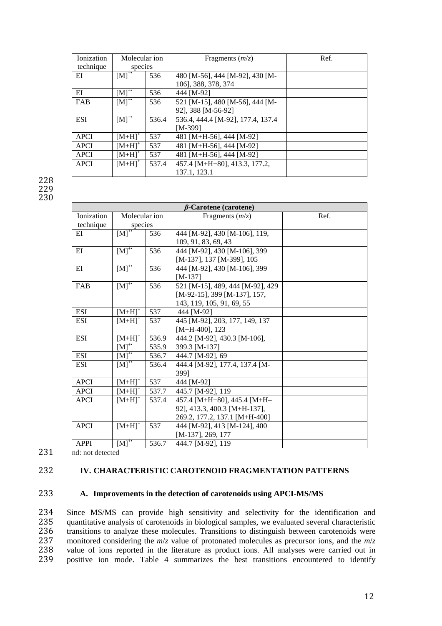| Ionization  | Molecular ion        |       | Fragments $(m/z)$                 | Ref. |
|-------------|----------------------|-------|-----------------------------------|------|
| technique   | species              |       |                                   |      |
| ΕI          | $[M]^{+}$            | 536   | 480 [M-56], 444 [M-92], 430 [M-   |      |
|             |                      |       | 106], 388, 378, 374               |      |
| ΕI          | $[M]^{+}$            | 536   | 444 [M-92]                        |      |
| FAB         | $[M]^{+}$            | 536   | 521 [M-15], 480 [M-56], 444 [M-   |      |
|             |                      |       | 92], 388 [M-56-92]                |      |
| <b>ESI</b>  | $[M]^{+}$            | 536.4 | 536.4, 444.4 [M-92], 177.4, 137.4 |      |
|             |                      |       | [M-399]                           |      |
| <b>APCI</b> | $[M+H]$ <sup>+</sup> | 537   | 481 [M+H-56], 444 [M-92]          |      |
| <b>APCI</b> | $[M+H]$ <sup>+</sup> | 537   | 481 [M+H-56], 444 [M-92]          |      |
| <b>APCI</b> | $[M+H]$ <sup>+</sup> | 537   | 481 [M+H-56], 444 [M-92]          |      |
| <b>APCI</b> | $[M+H]^{+}$          | 537.4 | 457.4 [M+H-80], 413.3, 177.2,     |      |
|             |                      |       | 137.1, 123.1                      |      |

228 229 230

|             | $\beta$ -Carotene (carotene) |       |                                    |      |  |  |  |
|-------------|------------------------------|-------|------------------------------------|------|--|--|--|
| Ionization  | Molecular ion                |       | Fragments $(m/z)$                  | Ref. |  |  |  |
| technique   | species                      |       |                                    |      |  |  |  |
| $E$ I       | $[M]^{**}$                   | 536   | 444 [M-92], 430 [M-106], 119,      |      |  |  |  |
|             |                              |       | 109, 91, 83, 69, 43                |      |  |  |  |
| EI          | $[M]^{T}$                    | 536   | 444 [M-92], 430 [M-106], 399       |      |  |  |  |
|             |                              |       | [M-137], 137 [M-399], 105          |      |  |  |  |
| $E$ I       | $[M]^{+}$                    | 536   | 444 [M-92], 430 [M-106], 399       |      |  |  |  |
|             |                              |       | $[M-137]$                          |      |  |  |  |
| FAB         | $[M]^{+}$                    | 536   | 521 [M-15], 489, 444 [M-92], 429   |      |  |  |  |
|             |                              |       | $[M-92-15]$ , 399 $[M-137]$ , 157, |      |  |  |  |
|             |                              |       | 143, 119, 105, 91, 69, 55          |      |  |  |  |
| <b>ESI</b>  | $[M+H]$ <sup>+</sup>         | 537   | 444 [M-92]                         |      |  |  |  |
| <b>ESI</b>  | $[M+H]$ <sup>+</sup>         | 537   | 445 [M-92], 203, 177, 149, 137     |      |  |  |  |
|             |                              |       | $[M+H-400]$ , 123                  |      |  |  |  |
| <b>ESI</b>  | $[M+H]$ <sup>+</sup>         | 536.9 | 444.2 [M-92], 430.3 [M-106],       |      |  |  |  |
|             | $[M]^{*}$                    | 535.9 | 399.3 [M-137]                      |      |  |  |  |
| <b>ESI</b>  | $[M]^{**}$                   | 536.7 | 444.7 [M-92], 69                   |      |  |  |  |
| <b>ESI</b>  | $[M]^{**}$                   | 536.4 | 444.4 [M-92], 177.4, 137.4 [M-     |      |  |  |  |
|             |                              |       | 399]                               |      |  |  |  |
| <b>APCI</b> | $[M+H]$ <sup>+</sup>         | 537   | 444 [M-92]                         |      |  |  |  |
| <b>APCI</b> | $[M+H]$ <sup>+</sup>         | 537.7 | 445.7 [M-92], 119                  |      |  |  |  |
| <b>APCI</b> | $[M+H]$ <sup>+</sup>         | 537.4 | 457.4 [M+H-80], 445.4 [M+H-        |      |  |  |  |
|             |                              |       | 92], 413.3, 400.3 [M+H-137],       |      |  |  |  |
|             |                              |       | 269.2, 177.2, 137.1 [M+H-400]      |      |  |  |  |
| <b>APCI</b> | $[M+H]$ <sup>+</sup>         | 537   | 444 [M-92], 413 [M-124], 400       |      |  |  |  |
|             |                              |       | [M-137], 269, 177                  |      |  |  |  |
| <b>APPI</b> | $[M]^{**}$                   | 536.7 | 444.7 [M-92], 119                  |      |  |  |  |

231 nd: not detected

# 232 **IV. CHARACTERISTIC CAROTENOID FRAGMENTATION PATTERNS**

#### 233 **A. Improvements in the detection of carotenoids using APCI-MS/MS**

234 Since MS/MS can provide high sensitivity and selectivity for the identification and 235 quantitative analysis of carotenoids in biological samples, we evaluated several characteristic quantitative analysis of carotenoids in biological samples, we evaluated several characteristic 236 transitions to analyze these molecules. Transitions to distinguish between carotenoids were<br>237 monitored considering the  $m/z$  value of protonated molecules as precursor ions, and the  $m/z$ 237 monitored considering the  $m/z$  value of protonated molecules as precursor ions, and the  $m/z$ <br>238 value of ions reported in the literature as product ions. All analyses were carried out in 238 value of ions reported in the literature as product ions. All analyses were carried out in 239 positive ion mode. Table 4 summarizes the best transitions encountered to identify positive ion mode. Table 4 summarizes the best transitions encountered to identify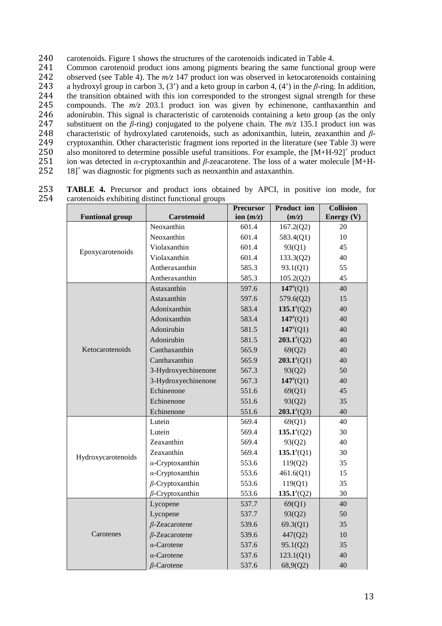240 carotenoids. Figure 1 shows the structures of the carotenoids indicated in Table 4.

241 Common carotenoid product ions among pigments bearing the same functional group were 242 observed (see Table 4). The  $m/z$  147 product ion was observed in ketocarotenoids containing 243 a hydroxyl group in carbon 3, (3') and a keto group in carbon 4, (4') in the  $\beta$ -ring. In addition, 243 a hydroxyl group in carbon 3, (3') and a keto group in carbon 4, (4') in the  $\beta$ -ring. In addition,<br>244 the transition obtained with this ion corresponded to the strongest signal strength for these 244 the transition obtained with this ion corresponded to the strongest signal strength for these<br>245 compounds. The  $m/z$  203.1 product ion was given by echinenone, canthaxanthin and compounds. The  $m/z$  203.1 product ion was given by echinenone, canthaxanthin and 246 adonirubin. This signal is characteristic of carotenoids containing a keto group (as the only 247 substituent on the *β*-ring) conjugated to the polyene chain. The *m/z* 135.1 product ion was 248 characteristic of hydroxylated carotenoids, such as adonixanthin, lutein, zeaxanthin and *β*-249 cryptoxanthin. Other characteristic fragment ions reported in the literature (see Table 3) were<br>250 also monitored to determine possible useful transitions. For example, the  $[M+H-92]$ <sup>+</sup> product 250 also monitored to determine possible useful transitions. For example, the  $[M+H-92]^+$  product 251 ion was detected in *α*-cryptoxanthin and *β*-zeacarotene. The loss of a water molecule [M+H-252 18]<sup>+</sup> was diagnostic for pigments such as neoxanthin and astaxanthin. 18]<sup>+</sup> 252 was diagnostic for pigments such as neoxanthin and astaxanthin.

|                        |                         | <b>Precursor</b> | Product ion          | <b>Collision</b> |
|------------------------|-------------------------|------------------|----------------------|------------------|
| <b>Funtional group</b> | Carotenoid              | ion $(m/z)$      | (m/z)                | Energy (V)       |
|                        | Neoxanthin              | 601.4            | 167.2(Q2)            | 20               |
|                        | Neoxanthin              | 601.4            | 583.4(Q1)            | 10               |
| Epoxycarotenoids       | Violaxanthin            | 601.4            | 93(Q1)               | 45               |
|                        | Violaxanthin            | 601.4            | 133.3(Q2)            | 40               |
|                        | Antheraxanthin          | 585.3            | 93.1(Q1)             | 55               |
|                        | Antheraxanthin          | 585.3            | 105.2(Q2)            | 45               |
|                        | Astaxanthin             | 597.6            | $147^{\circ} (Q1)$   | 40               |
|                        | Astaxanthin             | 597.6            | 579.6(Q2)            | 15               |
|                        | Adonixanthin            | 583.4            | $135.1^{\circ} (Q2)$ | 40               |
|                        | Adonixanthin            | 583.4            | $147^{\circ} (Q1)$   | 40               |
|                        | Adonirubin              | 581.5            | $147^{\circ} (Q1)$   | 40               |
|                        | Adonirubin              | 581.5            | $203.1^a(Q2)$        | 40               |
| Ketocarotenoids        | Canthaxanthin           | 565.9            | 69(Q2)               | 40               |
|                        | Canthaxanthin           | 565.9            | $203.1^{\circ} (Q1)$ | 40               |
|                        | 3-Hydroxyechinenone     | 567.3            | 93(Q2)               | 50               |
|                        | 3-Hydroxyechinenone     | 567.3            | $147^{\rm a}(Q1)$    | 40               |
|                        | Echinenone              | 551.6            | 69(Q1)               | 45               |
|                        | Echinenone              | 551.6            | 93(Q2)               | 35               |
|                        | Echinenone              | 551.6            | $203.1^{\circ}$ (Q3) | 40               |
|                        | Lutein                  | 569.4            | 69(Q1)               | 40               |
|                        | Lutein                  | 569.4            | $135.1^a(Q2)$        | 30               |
|                        | Zeaxanthin              | 569.4            | 93(Q2)               | 40               |
| Hydroxycarotenoids     | Zeaxanthin              | 569.4            | $135.1^{\circ} (Q1)$ | 30               |
|                        | $\alpha$ -Cryptoxanthin | 553.6            | 119(Q2)              | 35               |
|                        | $\alpha$ -Cryptoxanthin | 553.6            | 461.6(Q1)            | 15               |
|                        | $\beta$ -Cryptoxanthin  | 553.6            | 119(Q1)              | 35               |
|                        | $\beta$ -Cryptoxanthin  | 553.6            | $135.1^{\circ} (Q2)$ | 30               |
|                        | Lycopene                | 537.7            | 69(Q1)               | 40               |
|                        | Lycopene                | 537.7            | 93(Q2)               | 50               |
| Carotenes              | $\beta$ -Zeacarotene    | 539.6            | 69.3(Q1)             | 35               |
|                        | $\beta$ -Zeacarotene    | 539.6            | 447(Q2)              | 10               |
|                        | $\alpha$ -Carotene      | 537.6            | 95.1(Q2)             | 35               |
|                        | $\alpha$ -Carotene      | 537.6            | 123.1(Q1)            | 40               |
|                        | $\beta$ -Carotene       | 537.6            | 68,9(Q2)             | 40               |

253 **TABLE 4.** Precursor and product ions obtained by APCI, in positive ion mode, for 254 carotenoids exhibiting distinct functional groups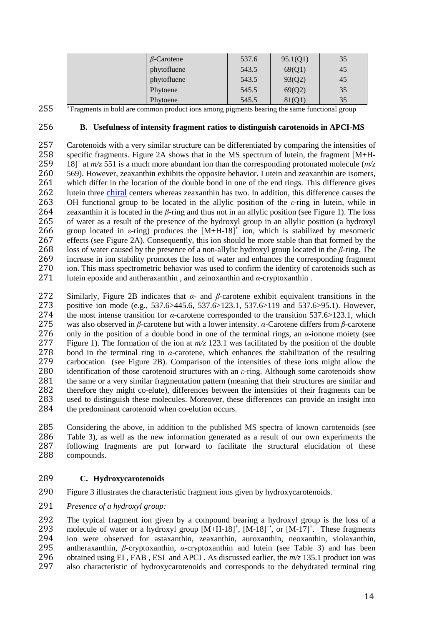| $\beta$ -Carotene | 537.6 | 95.1(Q1) | 35 |
|-------------------|-------|----------|----|
| phytofluene       | 543.5 | 69(Q1)   | 45 |
| phytofluene       | 543.5 | 93(Q2)   | 45 |
| Phytoene          | 545.5 | 69(Q2)   | 35 |
| Phytoene          | 545.5 | 81(Q1)   | 35 |

255 Fragments in bold are common product ions among pigments bearing the same functional group

## 256 **B. Usefulness of intensity fragment ratios to distinguish carotenoids in APCI-MS**

257 Carotenoids with a very similar structure can be differentiated by comparing the intensities of<br>258 specific fragments. Figure 2A shows that in the MS spectrum of lutein, the fragment  $[M+H]$ specific fragments. Figure 2A shows that in the MS spectrum of lutein, the fragment [M+H-259 18]<sup>+</sup> at  $m/z$  551 is a much more abundant ion than the corresponding protonated molecule ( $m/z$ 260 569). However, zeaxanthin exhibits the opposite behavior. Lutein and zeaxanthin are isomers,<br>261 which differ in the location of the double bond in one of the end rings. This difference gives which differ in the location of the double bond in one of the end rings. This difference gives 262 lutein three chiral centers whereas zeaxanthin has two. In addition, this difference causes the 263 OH functional group to be located in the allylic position of the  $\varepsilon$ -ring in lutein, while in 263 OH functional group to be located in the allylic position of the *ε*-ring in lutein, while in 264 zeaxanthin it is located in the *β*-ring and thus not in an allylic position (see Figure 1). The loss zeaxanthin it is located in the  $\beta$ -ring and thus not in an allylic position (see Figure 1). The loss 265 of water as a result of the presence of the hydroxyl group in an allylic position (a hydroxyl 266 group located in  $\varepsilon$ -ring) produces the  $[M+H-18]^+$  ion, which is stabilized by mesomeric 266 group located in  $\varepsilon$ -ring) produces the  $[M+H-18]^+$  ion, which is stabilized by mesomeric effects (see Figure 2A). Consequently, this ion should be more stable than that formed by the 268 loss of water caused by the loss of water caused by the presence of a non-allylic hydroxyl group located in the *β*-ring. The 269 increase in ion stability promotes the loss of water and enhances the corresponding fragment<br>270 ion. This mass spectrometric behavior was used to confirm the identity of carotenoids such as ion. This mass spectrometric behavior was used to confirm the identity of carotenoids such as 271 lutein epoxide and antheraxanthin, and zeinoxanthin and  $\alpha$ -cryptoxanthin.

272 Similarly, Figure 2B indicates that  $\alpha$ - and  $\beta$ -carotene exhibit equivalent transitions in the 273 positive ion mode (e.g., 537.6>445.6, 537.6>123.1, 537.6>119 and 537.6>95.1). However, 273 positive ion mode (e.g., 537.6>445.6, 537.6>123.1, 537.6>119 and 537.6>95.1). However,<br>274 the most intense transition for  $\alpha$ -carotene corresponded to the transition 537.6>123.1, which 274 the most intense transition for *α*-carotene corresponded to the transition 537.6>123.1, which<br>275 was also observed in *β*-carotene but with a lower intensity. *α*-Carotene differs from *β*-carotene 275 was also observed in *β*-carotene but with a lower intensity. *α*-Carotene differs from *β*-carotene 276 only in the position of a double bond in one of the terminal rings, an *α*-ionone moiety (see only in the position of a double bond in one of the terminal rings, an  $\alpha$ -ionone moiety (see 277 Figure 1). The formation of the ion at *m/z* 123.1 was facilitated by the position of the double 278 bond in the terminal ring in *α*-carotene, which enhances the stabilization of the resulting carbocation (see Figure 2B). Comparison of the intensities of these ions might allow the 279 carbocation (see Figure 2B). Comparison of the intensities of these ions might allow the 280 identification of those carotenoid structures with an  $\varepsilon$ -ring. Although some carotenoids show 280 identification of those carotenoid structures with an  $\varepsilon$ -ring. Although some carotenoids show<br>281 the same or a very similar fragmentation pattern (meaning that their structures are similar and the same or a very similar fragmentation pattern (meaning that their structures are similar and 282 therefore they might co-elute), differences between the intensities of their fragments can be 283 used to distinguish these molecules. Moreover, these differences can provide an insight into 284 the predominant carotenoid when co-elution occurs.

Considering the above, in addition to the published MS spectra of known carotenoids (see 286 Table 3), as well as the new information generated as a result of our own experiments the 287 following fragments are put forward to facilitate the structural elucidation of these following fragments are put forward to facilitate the structural elucidation of these compounds.

# 289 **C. Hydroxycarotenoids**

- 290 Figure 3 illustrates the characteristic fragment ions given by hydroxycarotenoids.
- 291 *Presence of a hydroxyl group:*

292 The typical fragment ion given by a compound bearing a hydroxyl group is the loss of a 293 molecule of water or a hydroxyl group  $[M+H-18]^+$ ,  $[M-18]^+$ , or  $[M-17]^+$ . These fragments 293 molecule of water or a hydroxyl group  $[M+H-18]^+$ ,  $[M-18]^+$ , or  $[M-17]^+$ . These fragments 294 ion were observed for astaxanthin, zeaxanthin, auroxanthin, neoxanthin, violaxanthin, 295 antheraxanthin, *β*-cryptoxanthin, *α*-cryptoxanthin and lutein (see Table 3) and has been 296 obtained using EI, FAB, ESI and APCI. As discussed earlier, the  $m/z$  135.1 product ion was<br>297 also characteristic of hydroxycarotenoids and corresponds to the dehydrated terminal ring 297 also characteristic of hydroxycarotenoids and corresponds to the dehydrated terminal ring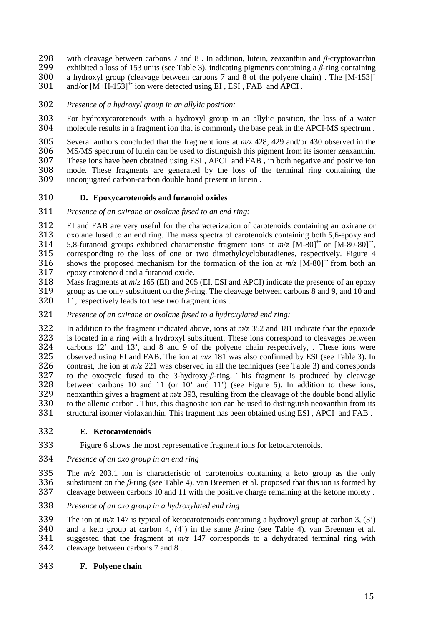298 with cleavage between carbons 7 and 8 . In addition, lutein, zeaxanthin and *β*-cryptoxanthin 299 exhibited a loss of 153 units (see Table 3), indicating pigments containing a *β*-ring containing a hydroxyl group (cleavage between carbons 7 and 8 of the polyene chain). The  $[M-153]$ <sup>+</sup> 300

- $301$  and/or  $[M+H-153]$ <sup>+</sup> ion were detected using EI, ESI, FAB and APCI.
- 302 *Presence of a hydroxyl group in an allylic position:*

303 For hydroxycarotenoids with a hydroxyl group in an allylic position, the loss of a water 304 molecule results in a fragment ion that is commonly the base peak in the APCI-MS spectrum .

305 Several authors concluded that the fragment ions at  $m/z$  428, 429 and/or 430 observed in the 306 MS/MS spectrum of lutein can be used to distinguish this pigment from its isomer zeaxanthin. 306 MS/MS spectrum of lutein can be used to distinguish this pigment from its isomer zeaxanthin.<br>307 These ions have been obtained using ESI, APCI and FAB, in both negative and positive ion 307 These ions have been obtained using ESI, APCI and FAB, in both negative and positive ion<br>308 mode. These fragments are generated by the loss of the terminal ring containing the mode. These fragments are generated by the loss of the terminal ring containing the

309 unconjugated carbon-carbon double bond present in lutein .

# 310 **D. Epoxycarotenoids and furanoid oxides**

311 *Presence of an oxirane or oxolane fused to an end ring:* 

312 EI and FAB are very useful for the characterization of carotenoids containing an oxirane or 313 oxolane fused to an end ring. The mass spectra of carotenoids containing both 5.6-epoxy and oxolane fused to an end ring. The mass spectra of carotenoids containing both 5,6-epoxy and 5.8-furanoid groups exhibited characteristic fragment ions at  $m/z$  [M-80<sup>++</sup> or [M-80-80]<sup>++</sup>. 315 corresponding to the loss of one or two dimethylcyclobutadienes, respectively. Figure 4 shows the proposed mechanism for the formation of the ion at  $m/z$  [M-80]<sup>+•</sup> from both an approxy carotenoid and a furanoid oxide. epoxy carotenoid and a furanoid oxide.

318 Mass fragments at *m*/*z* 165 (EI) and 205 (EI, ESI and APCI) indicate the presence of an epoxy 319 group as the only substituent on the *β*-ring. The cleavage between carbons 8 and 9, and 10 and 11, respectively leads to these two fragment ions.

321 *Presence of an oxirane or oxolane fused to a hydroxylated end ring:* 

322 In addition to the fragment indicated above, ions at  $m/z$  352 and 181 indicate that the epoxide<br>323 is located in a ring with a hydroxyl substituent. These ions correspond to cleavages between 323 is located in a ring with a hydroxyl substituent. These ions correspond to cleavages between<br>324 carbons 12' and 13', and 8 and 9 of the polyene chain respectively. These ions were carbons  $12'$  and  $13'$ , and 8 and 9 of the polyene chain respectively, . These ions were 325 observed using EI and FAB. The ion at *m*/*z* 181 was also confirmed by ESI (see Table 3). In 326 contrast, the ion at  $m/z$  221 was observed in all the techniques (see Table 3) and corresponds 327 to the oxocycle fused to the 3-hydroxy-*β*-ring. This fragment is produced by cleavage 328 between carbons 10 and 11 (or 10' and 11') (see Figure 5). In addition to these ions, between carbons 10 and 11 (or  $10'$  and  $11'$ ) (see Figure 5). In addition to these ions, 329 neoxanthin gives a fragment at  $m/z$  393, resulting from the cleavage of the double bond allylic  $330$  to the allenic carbon. Thus, this diagnostic ion can be used to distinguish neoxanthin from its 330 to the allenic carbon . Thus, this diagnostic ion can be used to distinguish neoxanthin from its<br>331 structural isomer violaxanthin. This fragment has been obtained using ESI, APCI and FAB. structural isomer violaxanthin. This fragment has been obtained using ESI, APCI and FAB.

#### 332 **E. Ketocarotenoids**

- 333 Figure 6 shows the most representative fragment ions for ketocarotenoids.
- 334 *Presence of an oxo group in an end ring*

335 The *m/z* 203.1 ion is characteristic of carotenoids containing a keto group as the only 336 substituent on the *β*-ring (see Table 4). van Breemen et al. proposed that this ion is formed by 337 cleavage between carbons 10 and 11 with the positive charge remaining at the ketone moiety .

338 *Presence of an oxo group in a hydroxylated end ring*

339 The ion at  $m/z$  147 is typical of ketocarotenoids containing a hydroxyl group at carbon 3, (3') 340 and a keto group at carbon 4, (4') in the same  $\beta$ -ring (see Table 4). van Breemen et al. and a keto group at carbon 4,  $(4')$  in the same  $\beta$ -ring (see Table 4). van Breemen et al. 341 suggested that the fragment at *m/z* 147 corresponds to a dehydrated terminal ring with 342 cleavage between carbons 7 and 8 .

343 **F. Polyene chain**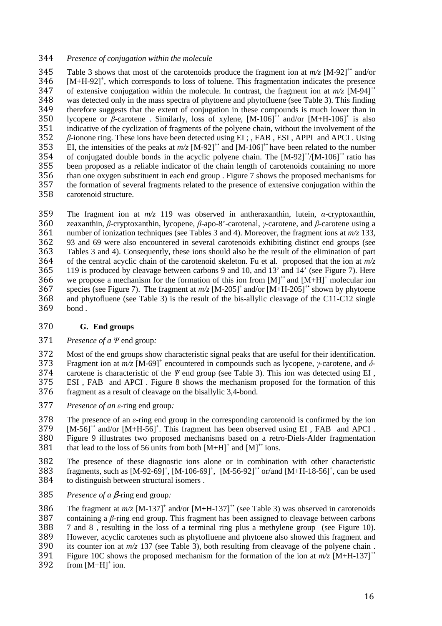## 344 *Presence of conjugation within the molecule*

Table 3 shows that most of the carotenoids produce the fragment ion at  $m/z$  [M-92]<sup>+•</sup> and/or  $346$  [M+H-92]<sup>+</sup>, which corresponds to loss of toluene. This fragmentation indicates the presence 347 of extensive conjugation within the molecule. In contrast, the fragment ion at  $m/z$  [M-94]<sup>+•</sup> 348 was detected only in the mass spectra of phytoene and phytofluene (see Table 3). This finding<br>349 therefore suggests that the extent of conjugation in these compounds is much lower than in therefore suggests that the extent of conjugation in these compounds is much lower than in 350 lycopene or *β*-carotene. Similarly, loss of xylene,  $[M-106]^{\text{+}}$  and/or  $[M+H-106]^{\text{+}}$  is also 351 indicative of the cyclization of fragments of the polyene chain, without the involvement of the 352  $\beta$ -ionone ring. These ions have been detected using EI;, FAB, ESI, APPI and APCI. Using 352 *β*-ionone ring. These ions have been detected using EI ; , FAB , ESI , APPI and APCI . Using EI, the intensities of the peaks at  $m/z$  [M-92]<sup>+•</sup> and [M-106]<sup>+•</sup> have been related to the number of conjugated double bonds in the acyclic polyene chain. The [M-92]<sup>+•</sup>/[M-106]<sup>+•</sup> ratio has of conjugated double bonds in the acyclic polyene chain. The  $[M-92]^{+}/[M-106]^{+}$  ratio has 355 been proposed as a reliable indicator of the chain length of carotenoids containing no more<br>356 than one oxygen substituent in each end group. Figure 7 shows the proposed mechanisms for 356 than one oxygen substituent in each end group . Figure 7 shows the proposed mechanisms for the formation of several fragments related to the presence of extensive conjugation within the the formation of several fragments related to the presence of extensive conjugation within the 358 carotenoid structure.

The fragment ion at *m/z* 119 was observed in antheraxanthin, lutein, *α*-cryptoxanthin, zeaxanthin, *β*-cryptoxanthin, lycopene, *β*-apo-8'-carotenal, *γ*-carotene, and *β*-carotene using a number of ionization techniques (see Tables 3 and 4). Moreover, the fragment ions at  $m/z$  133, 93 and 69 were also encountered in several carotenoids exhibiting distinct end groups (see Tables 3 and 4). Consequently, these ions should also be the result of the elimination of part of the central acyclic chain of the carotenoid skeleton. Fu et al. proposed that the ion at *m/z* 119 is produced by cleavage between carbons 9 and 10, and 13' and 14' (see Figure 7). Here 366 we propose a mechanism for the formation of this ion from  $[M]^{+}$  and  $[M+H]^{+}$  molecular ion 367 species (see Figure 7). The fragment at  $m/z$  [M-205]<sup>+</sup> and/or [M+H-205]<sup>+•</sup> shown by phytoene and phytofluene (see Table 3) is the result of the bis-allylic cleavage of the C11-C12 single bond.

# 370 **G. End groups**

#### 371 *Presence of a Ψ* end group*:*

372 Most of the end groups show characteristic signal peaks that are useful for their identification.<br>373 Fragment ion at  $m/z$  [M-69]<sup>+</sup> encountered in compounds such as lycopene. *y*-carotene, and  $\delta$ -Fragment ion at *m/z* [M-69]<sup>+</sup> 373 encountered in compounds such as lycopene, *γ*-carotene, and *δ*-374 carotene is characteristic of the *Ψ* end group (see Table 3). This ion was detected using EI , 375 ESI , FAB and APCI . Figure 8 shows the mechanism proposed for the formation of this 376 fragment as a result of cleavage on the bisallylic 3,4-bond.

377 *Presence of an ε*-ring end group*:* 

378 The presence of an *ε*-ring end group in the corresponding carotenoid is confirmed by the ion  $379$  [M-561<sup>+</sup> and/or [M+H-561<sup>+</sup>, This fragment has been observed using EL, FAB and APCL.  $[$   $[$ M-56]<sup>+•</sup> and/or  $[$ M+H-56]<sup>+</sup>. This fragment has been observed using EI, FAB and APCI. 380 Figure 9 illustrates two proposed mechanisms based on a retro-Diels-Alder fragmentation 381 that lead to the loss of 56 units from both  $[M+H]^+$  and  $[M]^{+*}$  ions.

- 382 The presence of these diagnostic ions alone or in combination with other characteristic<br>383 fragments, such as  $[M-92-69]^+$ ,  $[M-106-69]^+$ ,  $[M-56-92]^+$  or/and  $[M+H-18-56]^+$ , can be used 383 fragments, such as  $[M-92-69]^+$ ,  $[M-106-69]^+$ ,  $[M-56-92]^+$  or/and  $[M+H-18-56]^+$ , can be used 384 to distinguish between structural isomers .
- 385 *Presence of a* β-ring end group*:*

386 The fragment at  $m/z$  [M-137]<sup>+</sup> and/or [M+H-137]<sup>+</sup> (see Table 3) was observed in carotenoids 387 containing a *β*-ring end group. This fragment has been assigned to cleavage between carbons 388 7 and 8 , resulting in the loss of a terminal ring plus a methylene group (see Figure 10). 389 However, acyclic carotenes such as phytofluene and phytoene also showed this fragment and 390 its counter ion at *m/z* 137 (see Table 3), both resulting from cleavage of the polyene chain . Figure 10C shows the proposed mechanism for the formation of the ion at  $m/z$  [M+H-137]<sup>+•</sup> 392 from [M+H]<sup>+</sup> ion. 392 from  $[M+H]$ <sup>+</sup> ion.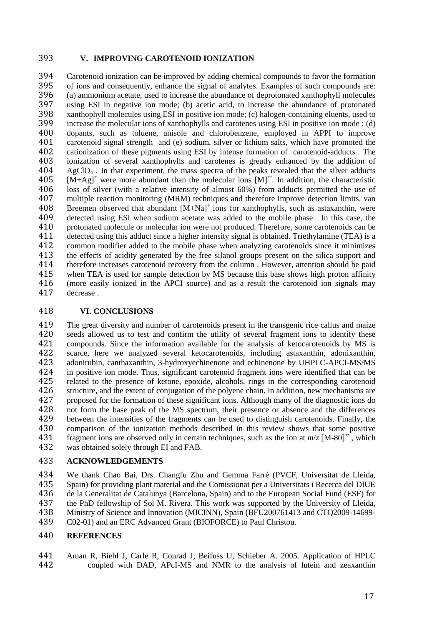## 393 **V. IMPROVING CAROTENOID IONIZATION**

394 Carotenoid ionization can be improved by adding chemical compounds to favor the formation<br>395 of ions and consequently, enhance the signal of analytes. Examples of such compounds are: 395 of ions and consequently, enhance the signal of analytes. Examples of such compounds are:<br>396 (a) ammonium acetate, used to increase the abundance of deprotonated xanthophyll molecules 396 (a) ammonium acetate, used to increase the abundance of deprotonated xanthophyll molecules<br>397 using ESI in negative ion mode: (b) acetic acid to increase the abundance of protonated 397 using ESI in negative ion mode; (b) acetic acid, to increase the abundance of protonated<br>398 xanthophyll molecules using ESI in positive ion mode; (c) halogen-containing eluents, used to 398 xanthophyll molecules using ESI in positive ion mode; (c) halogen-containing eluents, used to 399 increase the molecular ions of xanthophylls and carotenes using ESI in positive ion mode ; (d) 400 dopants, such as toluene, anisole and chlorobenzene, employed in APPI to improve 401 carotenoid signal strength and (e) sodium, silver or lithium salts, which have promoted the 402 cationization of these pigments using ESI by intense formation of carotenoid-adducts. The 402 cationization of these pigments using ESI by intense formation of carotenoid-adducts. The 403 ionization of several xanthophylls and carotenes is greatly enhanced by the addition of 403 ionization of several xanthophylls and carotenes is greatly enhanced by the addition of  $404$  AgClO<sub>4</sub>. In that experiment, the mass spectra of the peaks revealed that the silver adducts  $AgClO<sub>4</sub>$ . In that experiment, the mass spectra of the peaks revealed that the silver adducts  $405$   $[M+Ag]^+$  were more abundant than the molecular ions  $[M]^+$ . In addition, the characteristic 406 loss of silver (with a relative intensity of almost 60%) from adducts permitted the use of 407 multiple reaction monitoring (MRM) techniques and therefore improve detection limits. van<br>408 Breemen observed that abundant  $[M+Na]^+$  ions for xanthophylls, such as astaxanthin, were 408 Breemen observed that abundant  $[M+Na]^+$  ions for xanthophylls, such as astaxanthin, were 409 detected using ESI when sodium acetate was added to the mobile phase. In this case, the protonated molecule or molecular ion were not produced. Therefore, some carotenoids can be protonated molecule or molecular ion were not produced. Therefore, some carotenoids can be 411 detected using this adduct since a higher intensity signal is obtained. Triethylamine (TEA) is a<br>412 common modifier added to the mobile phase when analyzing carotenoids since it minimizes 412 common modifier added to the mobile phase when analyzing carotenoids since it minimizes 413 the effects of acidity generated by the free silanol groups present on the silica support and 414 therefore increases carotenoid recovery from the column . However, attention should be paid 415 when TEA is used for sample detection by MS because this base shows high proton affinity<br>416 (more easily ionized in the APCI source) and as a result the carotenoid ion signals may (more easily ionized in the APCI source) and as a result the carotenoid ion signals may 417 decrease .

## 418 **VI. CONCLUSIONS**

419 The great diversity and number of carotenoids present in the transgenic rice callus and maize 420 seeds allowed us to test and confirm the utility of several fragment ions to identify these 421 compounds. Since the information available for the analysis of ketocarotenoids by MS is 422 scarce, here we analyzed several ketocarotenoids, including astaxanthin, adonixanthin, 423 adonirubin, canthaxanthin, 3-hydroxyechinenone and echinenone by UHPLC-APCI-MS/MS 423 adonirubin, canthaxanthin, 3-hydroxyechinenone and echinenone by UHPLC-APCI-MS/MS<br>424 in positive ion mode. Thus, significant carotenoid fragment ions were identified that can be 424 in positive ion mode. Thus, significant carotenoid fragment ions were identified that can be related to the presence of ketone, epoxide, alcohols, rings in the corresponding carotenoid 425 related to the presence of ketone, epoxide, alcohols, rings in the corresponding carotenoid 426 structure, and the extent of conjugation of the polyene chain. In addition, new mechanisms are<br>427 proposed for the formation of these significant ions. Although many of the diagnostic ions do 427 proposed for the formation of these significant ions. Although many of the diagnostic ions do 428 not form the base peak of the MS spectrum, their presence or absence and the differences 429 between the intensities of the fragments can be used to distinguish carotenoids. Finally, the 430 comparison of the ionization methods described in this review shows that some positive 431 fragment ions are observed only in certain techniques, such as the ion at  $m/z$  [M-80]<sup>\*\*</sup>, which fragment ions are observed only in certain techniques, such as the ion at  $m/z$  [M-80]<sup>+\*</sup>, which 432 was obtained solely through EI and FAB.

# 433 **ACKNOWLEDGEMENTS**

434 We thank Chao Bai, Drs. Changfu Zhu and Gemma Farré (PVCF, Universitat de Lleida, 435 Spain) for providing plant material and the Comissionat per a Universitats i Recerca del DIUE 435 Spain) for providing plant material and the Comissionat per a Universitats i Recerca del DIUE<br>436 de la Generalitat de Catalunya (Barcelona, Spain) and to the European Social Fund (ESF) for de la Generalitat de Catalunya (Barcelona, Spain) and to the European Social Fund (ESF) for the PhD fellowship of Sol M. Rivera. This work was supported by the University of Lleida, Ministry of Science and Innovation (MICINN), Spain (BFU200761413 and CTQ2009-14699- C02-01) and an ERC Advanced Grant (BIOFORCE) to Paul Christou.

#### 440 **REFERENCES**

441 Aman R, Biehl J, Carle R, Conrad J, Beifuss U, Schieber A. 2005. Application of HPLC 442 coupled with DAD, APcI-MS and NMR to the analysis of lutein and zeaxanthin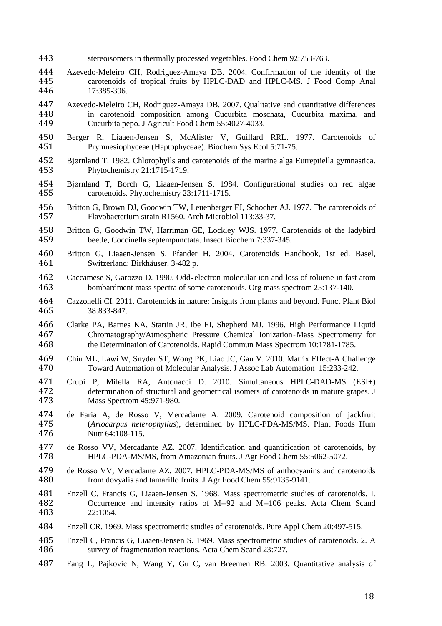- stereoisomers in thermally processed vegetables. Food Chem 92:753-763.
- Azevedo-Meleiro CH, Rodriguez-Amaya DB. 2004. Confirmation of the identity of the carotenoids of tropical fruits by HPLC-DAD and HPLC-MS. J Food Comp Anal 17:385-396.
- Azevedo-Meleiro CH, Rodriguez-Amaya DB. 2007. Qualitative and quantitative differences in carotenoid composition among Cucurbita moschata, Cucurbita maxima, and Cucurbita pepo. J Agricult Food Chem 55:4027-4033.
- Berger R, Liaaen-Jensen S, McAlister V, Guillard RRL. 1977. Carotenoids of Prymnesiophyceae (Haptophyceae). Biochem Sys Ecol 5:71-75.
- Bjørnland T. 1982. Chlorophylls and carotenoids of the marine alga Eutreptiella gymnastica. Phytochemistry 21:1715-1719.
- Bjørnland T, Borch G, Liaaen-Jensen S. 1984. Configurational studies on red algae carotenoids. Phytochemistry 23:1711-1715.
- Britton G, Brown DJ, Goodwin TW, Leuenberger FJ, Schocher AJ. 1977. The carotenoids of Flavobacterium strain R1560. Arch Microbiol 113:33-37.
- Britton G, Goodwin TW, Harriman GE, Lockley WJS. 1977. Carotenoids of the ladybird beetle, Coccinella septempunctata. Insect Biochem 7:337-345.
- Britton G, Liaaen-Jensen S, Pfander H. 2004. Carotenoids Handbook, 1st ed. Basel, Switzerland: Birkhäuser. 3-482 p.
- Caccamese S, Garozzo D. 1990. Odd‐electron molecular ion and loss of toluene in fast atom bombardment mass spectra of some carotenoids. Org mass spectrom 25:137-140.
- Cazzonelli CI. 2011. Carotenoids in nature: Insights from plants and beyond. Funct Plant Biol 38:833-847.
- Clarke PA, Barnes KA, Startin JR, Ibe FI, Shepherd MJ. 1996. High Performance Liquid Chromatography/Atmospheric Pressure Chemical Ionization‐Mass Spectrometry for the Determination of Carotenoids. Rapid Commun Mass Spectrom 10:1781-1785.
- Chiu ML, Lawi W, Snyder ST, Wong PK, Liao JC, Gau V. 2010. Matrix Effect-A Challenge Toward Automation of Molecular Analysis. J Assoc Lab Automation 15:233-242.
- Crupi P, Milella RA, Antonacci D. 2010. Simultaneous HPLC-DAD-MS (ESI+) determination of structural and geometrical isomers of carotenoids in mature grapes. J Mass Spectrom 45:971-980.
- de Faria A, de Rosso V, Mercadante A. 2009. Carotenoid composition of jackfruit (*Artocarpus heterophyllus*), determined by HPLC-PDA-MS/MS. Plant Foods Hum Nutr 64:108-115.
- de Rosso VV, Mercadante AZ. 2007. Identification and quantification of carotenoids, by HPLC-PDA-MS/MS, from Amazonian fruits. J Agr Food Chem 55:5062-5072.
- de Rosso VV, Mercadante AZ. 2007. HPLC-PDA-MS/MS of anthocyanins and carotenoids from dovyalis and tamarillo fruits. J Agr Food Chem 55:9135-9141.
- Enzell C, Francis G, Liaaen-Jensen S. 1968. Mass spectrometric studies of carotenoids. I. Occurrence and intensity ratios of M--92 and M--106 peaks. Acta Chem Scand 22:1054.
- Enzell CR. 1969. Mass spectrometric studies of carotenoids. Pure Appl Chem 20:497-515.
- Enzell C, Francis G, Liaaen-Jensen S. 1969. Mass spectrometric studies of carotenoids. 2. A survey of fragmentation reactions. Acta Chem Scand 23:727.
- Fang L, Pajkovic N, Wang Y, Gu C, van Breemen RB. 2003. Quantitative analysis of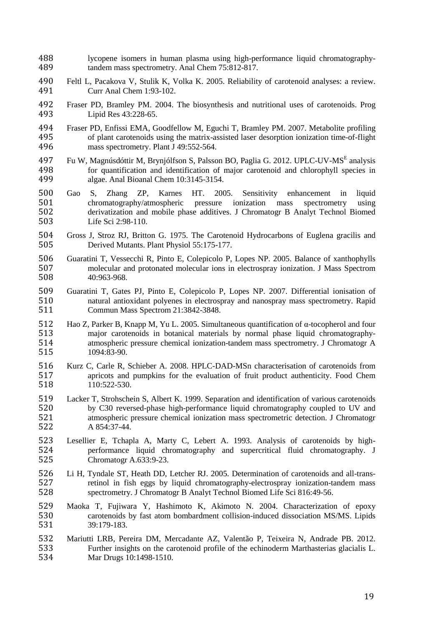- lycopene isomers in human plasma using high-performance liquid chromatography-tandem mass spectrometry. Anal Chem 75:812-817.
- Feltl L, Pacakova V, Stulik K, Volka K. 2005. Reliability of carotenoid analyses: a review. Curr Anal Chem 1:93-102.
- Fraser PD, Bramley PM. 2004. The biosynthesis and nutritional uses of carotenoids. Prog Lipid Res 43:228-65.
- 494 Fraser PD, Enfissi EMA, Goodfellow M, Eguchi T, Bramley PM. 2007. Metabolite profiling<br>495 of plant carotenoids using the matrix-assisted laser desorption ionization time-of-flight of plant carotenoids using the matrix-assisted laser desorption ionization time-of-flight mass spectrometry. Plant J 49:552-564.
- 497 Fu W, Magnúsdóttir M, Brynjólfson S, Palsson BO, Paglia G. 2012. UPLC-UV-MSE analysis 498 for quantification and identification of major carotenoid and chlorophyll species in<br>499 algae. Anal Bioanal Chem 10:3145-3154. algae. Anal Bioanal Chem 10:3145-3154.
- Gao S, Zhang ZP, Karnes HT. 2005. Sensitivity enhancement in liquid chromatography/atmospheric pressure ionization mass spectrometry using derivatization and mobile phase additives. J Chromatogr B Analyt Technol Biomed Life Sci 2:98-110.
- Gross J, Stroz RJ, Britton G. 1975. The Carotenoid Hydrocarbons of Euglena gracilis and Derived Mutants. Plant Physiol 55:175-177.
- Guaratini T, Vessecchi R, Pinto E, Colepicolo P, Lopes NP. 2005. Balance of xanthophylls molecular and protonated molecular ions in electrospray ionization. J Mass Spectrom 40:963-968.
- Guaratini T, Gates PJ, Pinto E, Colepicolo P, Lopes NP. 2007. Differential ionisation of natural antioxidant polyenes in electrospray and nanospray mass spectrometry. Rapid Commun Mass Spectrom 21:3842-3848.
- Hao Z, Parker B, Knapp M, Yu L. 2005. Simultaneous quantification of α-tocopherol and four major carotenoids in botanical materials by normal phase liquid chromatography-atmospheric pressure chemical ionization-tandem mass spectrometry. J Chromatogr A 1094:83-90.
- Kurz C, Carle R, Schieber A. 2008. HPLC-DAD-MSn characterisation of carotenoids from 517 apricots and pumpkins for the evaluation of fruit product authenticity. Food Chem<br>518 110:522-530. 110:522-530.
- Lacker T, Strohschein S, Albert K. 1999. Separation and identification of various carotenoids by C30 reversed-phase high-performance liquid chromatography coupled to UV and 521 atmospheric pressure chemical ionization mass spectrometric detection. J Chromatogr 522 A 854:37-44. A 854:37-44.
- Lesellier E, Tchapla A, Marty C, Lebert A. 1993. Analysis of carotenoids by highperformance liquid chromatography and supercritical fluid chromatography. J Chromatogr A.633:9-23.
- Li H, Tyndale ST, Heath DD, Letcher RJ. 2005. Determination of carotenoids and all-trans-527 retinol in fish eggs by liquid chromatography-electrospray ionization-tandem mass<br>528 spectrometry. J Chromatogr B Analyt Technol Biomed Life Sci 816:49-56. spectrometry. J Chromatogr B Analyt Technol Biomed Life Sci 816:49-56.
- Maoka T, Fujiwara Y, Hashimoto K, Akimoto N. 2004. Characterization of epoxy 530 carotenoids by fast atom bombardment collision-induced dissociation MS/MS. Lipids 531 39:179-183. 39:179-183.
- Mariutti LRB, Pereira DM, Mercadante AZ, Valentão P, Teixeira N, Andrade PB. 2012. Further insights on the carotenoid profile of the echinoderm Marthasterias glacialis L. Mar Drugs 10:1498-1510.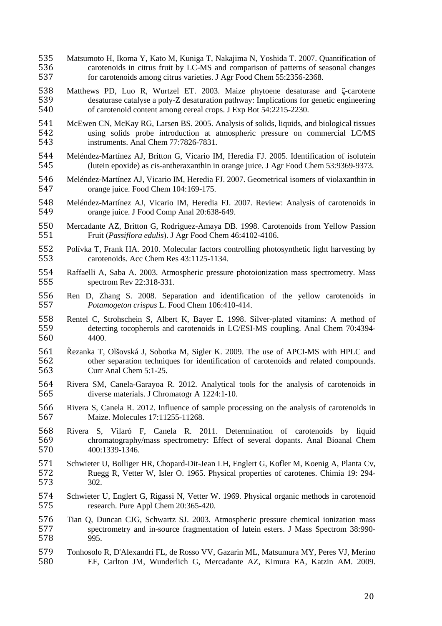- Matsumoto H, Ikoma Y, Kato M, Kuniga T, Nakajima N, Yoshida T. 2007. Quantification of carotenoids in citrus fruit by LC-MS and comparison of patterns of seasonal changes for carotenoids among citrus varieties. J Agr Food Chem 55:2356-2368.
- Matthews PD, Luo R, Wurtzel ET. 2003. Maize phytoene desaturase and **ζ**-carotene 539 desaturase catalyse a poly-Z desaturation pathway: Implications for genetic engineering<br>540 of carotenoid content among cereal crops. J Exp Bot 54:2215-2230. of carotenoid content among cereal crops. J Exp Bot 54:2215-2230.
- McEwen CN, McKay RG, Larsen BS. 2005. Analysis of solids, liquids, and biological tissues 542 using solids probe introduction at atmospheric pressure on commercial LC/MS<br>543 instruments. Anal Chem 77:7826-7831. instruments. Anal Chem 77:7826-7831.
- Meléndez-Martínez AJ, Britton G, Vicario IM, Heredia FJ. 2005. Identification of isolutein (lutein epoxide) as cis-antheraxanthin in orange juice. J Agr Food Chem 53:9369-9373.
- Meléndez-Martínez AJ, Vicario IM, Heredia FJ. 2007. Geometrical isomers of violaxanthin in orange juice. Food Chem 104:169-175.
- Meléndez-Martínez AJ, Vicario IM, Heredia FJ. 2007. Review: Analysis of carotenoids in orange juice. J Food Comp Anal 20:638-649.
- Mercadante AZ, Britton G, Rodriguez-Amaya DB. 1998. Carotenoids from Yellow Passion Fruit (*Passiflora edulis*). J Agr Food Chem 46:4102-4106.
- 552 Polívka T, Frank HA. 2010. Molecular factors controlling photosynthetic light harvesting by<br>553 carotenoids. Acc Chem Res 43:1125-1134. carotenoids. Acc Chem Res 43:1125-1134.
- Raffaelli A, Saba A. 2003. Atmospheric pressure photoionization mass spectrometry. Mass spectrom Rev 22:318-331.
- Ren D, Zhang S. 2008. Separation and identification of the yellow carotenoids in *Potamogeton crispus* L. Food Chem 106:410-414.
- Rentel C, Strohschein S, Albert K, Bayer E. 1998. Silver-plated vitamins: A method of detecting tocopherols and carotenoids in LC/ESI-MS coupling. Anal Chem 70:4394- 4400.
- Řezanka T, Olšovská J, Sobotka M, Sigler K. 2009. The use of APCI-MS with HPLC and 562 other separation techniques for identification of carotenoids and related compounds.<br>563 Curr Anal Chem 5:1-25. Curr Anal Chem 5:1-25.
- Rivera SM, Canela-Garayoa R. 2012. Analytical tools for the analysis of carotenoids in diverse materials. J Chromatogr A 1224:1-10.
- Rivera S, Canela R. 2012. Influence of sample processing on the analysis of carotenoids in Maize. Molecules 17:11255-11268.
- Rivera S, Vilaró F, Canela R. 2011. Determination of carotenoids by liquid chromatography/mass spectrometry: Effect of several dopants. Anal Bioanal Chem 400:1339-1346.
- Schwieter U, Bolliger HR, Chopard-Dit-Jean LH, Englert G, Kofler M, Koenig A, Planta Cv, Ruegg R, Vetter W, Isler O. 1965. Physical properties of carotenes. Chimia 19: 294- 302.
- Schwieter U, Englert G, Rigassi N, Vetter W. 1969. Physical organic methods in carotenoid research. Pure Appl Chem 20:365-420.
- Tian Q, Duncan CJG, Schwartz SJ. 2003. Atmospheric pressure chemical ionization mass spectrometry and in-source fragmentation of lutein esters. J Mass Spectrom 38:990- 995.
- Tonhosolo R, D'Alexandri FL, de Rosso VV, Gazarin ML, Matsumura MY, Peres VJ, Merino EF, Carlton JM, Wunderlich G, Mercadante AZ, Kimura EA, Katzin AM. 2009.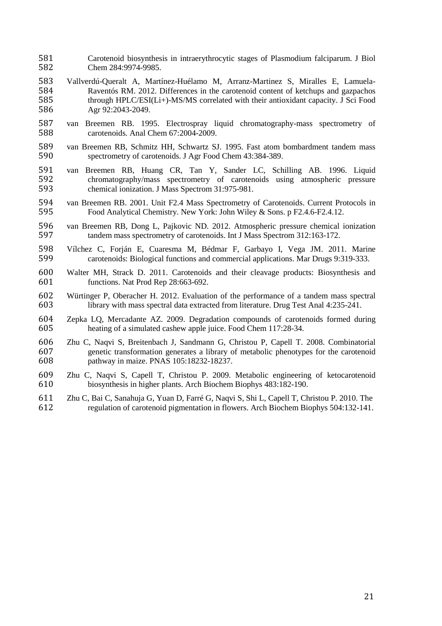- Carotenoid biosynthesis in intraerythrocytic stages of Plasmodium falciparum. J Biol Chem 284:9974-9985.
- Vallverdú-Queralt A, Martínez-Huélamo M, Arranz-Martinez S, Miralles E, Lamuela-584 Raventós RM. 2012. Differences in the carotenoid content of ketchups and gazpachos<br>585 through HPLC/ESI(Li+)-MS/MS correlated with their antioxidant capacity. J Sci Food through HPLC/ESI(Li+)-MS/MS correlated with their antioxidant capacity. J Sci Food Agr 92:2043-2049.
- van Breemen RB. 1995. Electrospray liquid chromatography-mass spectrometry of carotenoids. Anal Chem 67:2004-2009.
- van Breemen RB, Schmitz HH, Schwartz SJ. 1995. Fast atom bombardment tandem mass spectrometry of carotenoids. J Agr Food Chem 43:384-389.
- 591 van Breemen RB, Huang CR, Tan Y, Sander LC, Schilling AB. 1996. Liquid chromatography/mass spectrometry of carotenoids using atmospheric pressure chromatography/mass spectrometry of carotenoids using atmospheric pressure chemical ionization. J Mass Spectrom 31:975-981.
- van Breemen RB. 2001. Unit F2.4 Mass Spectrometry of Carotenoids. Current Protocols in Food Analytical Chemistry. New York: John Wiley & Sons. p F2.4.6-F2.4.12.
- 596 van Breemen RB, Dong L, Pajkovic ND. 2012. Atmospheric pressure chemical ionization<br>597 tandem mass spectrometry of carotenoids. Int J Mass Spectrom 312:163-172. tandem mass spectrometry of carotenoids. Int J Mass Spectrom 312:163-172.
- Vílchez C, Forján E, Cuaresma M, Bédmar F, Garbayo I, Vega JM. 2011. Marine carotenoids: Biological functions and commercial applications. Mar Drugs 9:319-333.
- Walter MH, Strack D. 2011. Carotenoids and their cleavage products: Biosynthesis and functions. Nat Prod Rep 28:663-692.
- Würtinger P, Oberacher H. 2012. Evaluation of the performance of a tandem mass spectral library with mass spectral data extracted from literature. Drug Test Anal 4:235-241.
- Zepka LQ, Mercadante AZ. 2009. Degradation compounds of carotenoids formed during heating of a simulated cashew apple juice. Food Chem 117:28-34.
- Zhu C, Naqvi S, Breitenbach J, Sandmann G, Christou P, Capell T. 2008. Combinatorial genetic transformation generates a library of metabolic phenotypes for the carotenoid pathway in maize. PNAS 105:18232-18237.
- Zhu C, Naqvi S, Capell T, Christou P. 2009. Metabolic engineering of ketocarotenoid biosynthesis in higher plants. Arch Biochem Biophys 483:182-190.
- Zhu C, Bai C, Sanahuja G, Yuan D, Farré G, Naqvi S, Shi L, Capell T, Christou P. 2010. The regulation of carotenoid pigmentation in flowers. Arch Biochem Biophys 504:132-141.